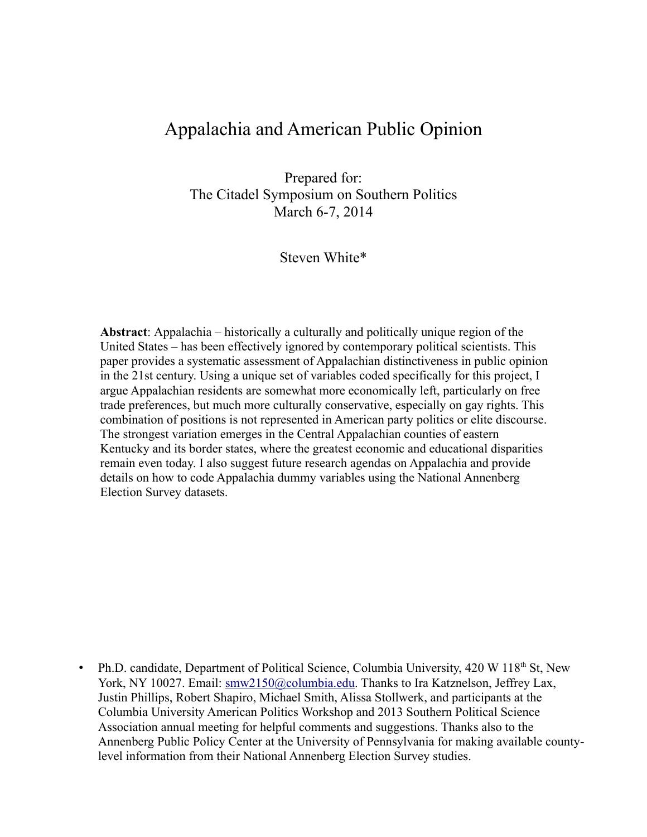# Appalachia and American Public Opinion

Prepared for: The Citadel Symposium on Southern Politics March 6-7, 2014

Steven White\*

**Abstract**: Appalachia – historically a culturally and politically unique region of the United States – has been effectively ignored by contemporary political scientists. This paper provides a systematic assessment of Appalachian distinctiveness in public opinion in the 21st century. Using a unique set of variables coded specifically for this project, I argue Appalachian residents are somewhat more economically left, particularly on free trade preferences, but much more culturally conservative, especially on gay rights. This combination of positions is not represented in American party politics or elite discourse. The strongest variation emerges in the Central Appalachian counties of eastern Kentucky and its border states, where the greatest economic and educational disparities remain even today. I also suggest future research agendas on Appalachia and provide details on how to code Appalachia dummy variables using the National Annenberg Election Survey datasets.

• Ph.D. candidate, Department of Political Science, Columbia University, 420 W 118<sup>th</sup> St, New York, NY 10027. Email: smw2150@columbia.edu. Thanks to Ira Katznelson, Jeffrey Lax, Justin Phillips, Robert Shapiro, Michael Smith, Alissa Stollwerk, and participants at the Columbia University American Politics Workshop and 2013 Southern Political Science Association annual meeting for helpful comments and suggestions. Thanks also to the Annenberg Public Policy Center at the University of Pennsylvania for making available countylevel information from their National Annenberg Election Survey studies.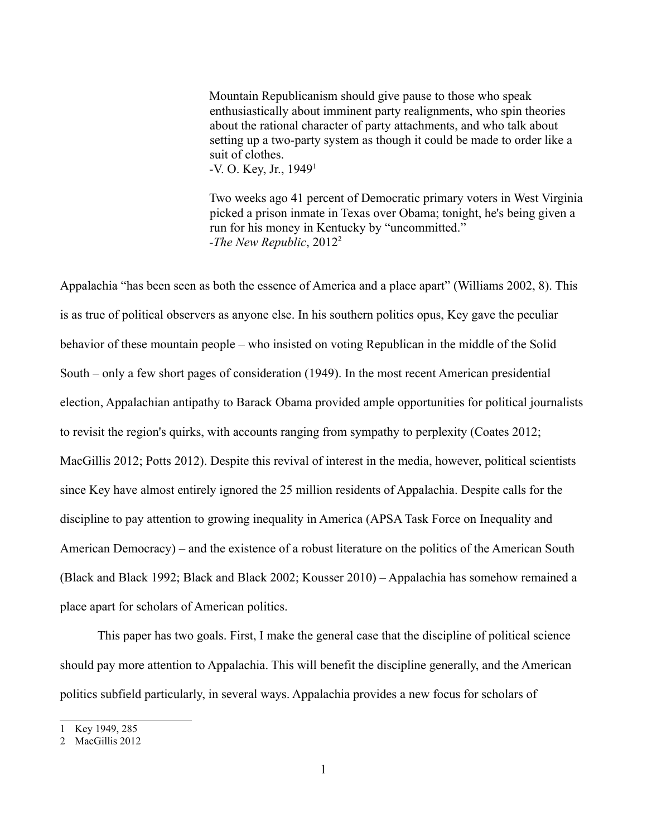Mountain Republicanism should give pause to those who speak enthusiastically about imminent party realignments, who spin theories about the rational character of party attachments, and who talk about setting up a two-party system as though it could be made to order like a suit of clothes. -V. O. Key, Jr., 19491

Two weeks ago 41 percent of Democratic primary voters in West Virginia picked a prison inmate in Texas over Obama; tonight, he's being given a run for his money in Kentucky by "uncommitted." -*The New Republic*, 20122

Appalachia "has been seen as both the essence of America and a place apart" (Williams 2002, 8). This is as true of political observers as anyone else. In his southern politics opus, Key gave the peculiar behavior of these mountain people – who insisted on voting Republican in the middle of the Solid South – only a few short pages of consideration (1949). In the most recent American presidential election, Appalachian antipathy to Barack Obama provided ample opportunities for political journalists to revisit the region's quirks, with accounts ranging from sympathy to perplexity (Coates 2012; MacGillis 2012; Potts 2012). Despite this revival of interest in the media, however, political scientists since Key have almost entirely ignored the 25 million residents of Appalachia. Despite calls for the discipline to pay attention to growing inequality in America (APSA Task Force on Inequality and American Democracy) – and the existence of a robust literature on the politics of the American South (Black and Black 1992; Black and Black 2002; Kousser 2010) – Appalachia has somehow remained a place apart for scholars of American politics.

This paper has two goals. First, I make the general case that the discipline of political science should pay more attention to Appalachia. This will benefit the discipline generally, and the American politics subfield particularly, in several ways. Appalachia provides a new focus for scholars of

<sup>1</sup> Key 1949, 285

<sup>2</sup> MacGillis 2012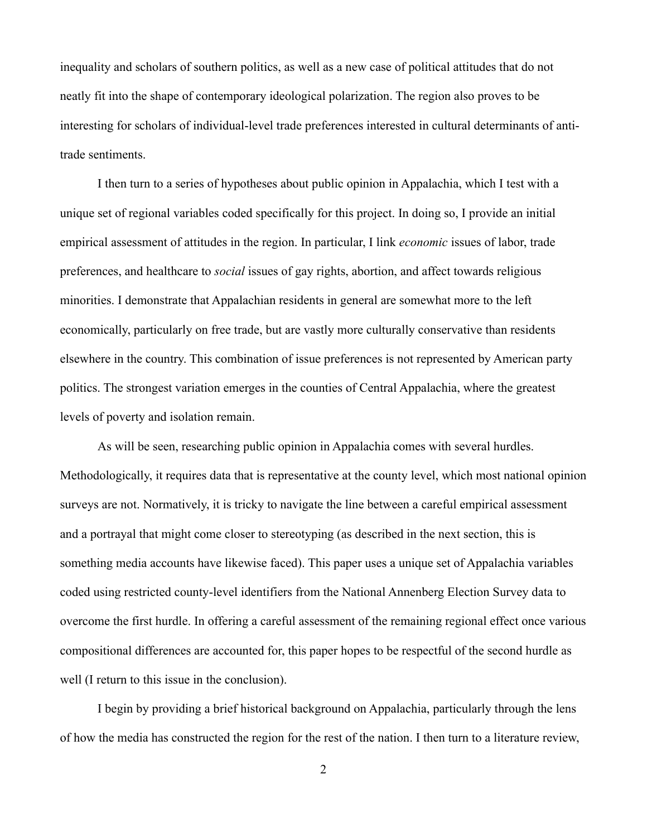inequality and scholars of southern politics, as well as a new case of political attitudes that do not neatly fit into the shape of contemporary ideological polarization. The region also proves to be interesting for scholars of individual-level trade preferences interested in cultural determinants of antitrade sentiments.

I then turn to a series of hypotheses about public opinion in Appalachia, which I test with a unique set of regional variables coded specifically for this project. In doing so, I provide an initial empirical assessment of attitudes in the region. In particular, I link *economic* issues of labor, trade preferences, and healthcare to *social* issues of gay rights, abortion, and affect towards religious minorities. I demonstrate that Appalachian residents in general are somewhat more to the left economically, particularly on free trade, but are vastly more culturally conservative than residents elsewhere in the country. This combination of issue preferences is not represented by American party politics. The strongest variation emerges in the counties of Central Appalachia, where the greatest levels of poverty and isolation remain.

As will be seen, researching public opinion in Appalachia comes with several hurdles. Methodologically, it requires data that is representative at the county level, which most national opinion surveys are not. Normatively, it is tricky to navigate the line between a careful empirical assessment and a portrayal that might come closer to stereotyping (as described in the next section, this is something media accounts have likewise faced). This paper uses a unique set of Appalachia variables coded using restricted county-level identifiers from the National Annenberg Election Survey data to overcome the first hurdle. In offering a careful assessment of the remaining regional effect once various compositional differences are accounted for, this paper hopes to be respectful of the second hurdle as well (I return to this issue in the conclusion).

I begin by providing a brief historical background on Appalachia, particularly through the lens of how the media has constructed the region for the rest of the nation. I then turn to a literature review,

2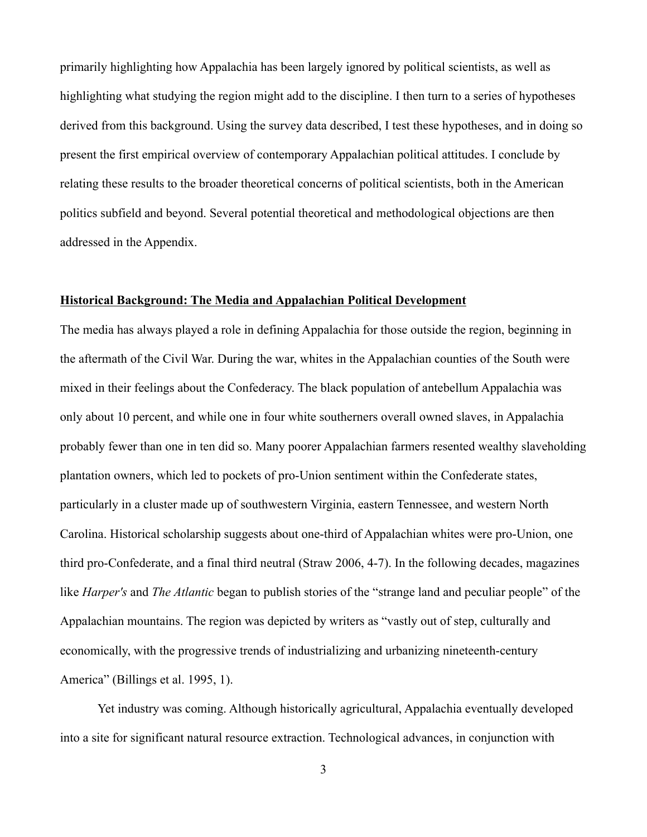primarily highlighting how Appalachia has been largely ignored by political scientists, as well as highlighting what studying the region might add to the discipline. I then turn to a series of hypotheses derived from this background. Using the survey data described, I test these hypotheses, and in doing so present the first empirical overview of contemporary Appalachian political attitudes. I conclude by relating these results to the broader theoretical concerns of political scientists, both in the American politics subfield and beyond. Several potential theoretical and methodological objections are then addressed in the Appendix.

#### **Historical Background: The Media and Appalachian Political Development**

The media has always played a role in defining Appalachia for those outside the region, beginning in the aftermath of the Civil War. During the war, whites in the Appalachian counties of the South were mixed in their feelings about the Confederacy. The black population of antebellum Appalachia was only about 10 percent, and while one in four white southerners overall owned slaves, in Appalachia probably fewer than one in ten did so. Many poorer Appalachian farmers resented wealthy slaveholding plantation owners, which led to pockets of pro-Union sentiment within the Confederate states, particularly in a cluster made up of southwestern Virginia, eastern Tennessee, and western North Carolina. Historical scholarship suggests about one-third of Appalachian whites were pro-Union, one third pro-Confederate, and a final third neutral (Straw 2006, 4-7). In the following decades, magazines like *Harper's* and *The Atlantic* began to publish stories of the "strange land and peculiar people" of the Appalachian mountains. The region was depicted by writers as "vastly out of step, culturally and economically, with the progressive trends of industrializing and urbanizing nineteenth-century America" (Billings et al. 1995, 1).

Yet industry was coming. Although historically agricultural, Appalachia eventually developed into a site for significant natural resource extraction. Technological advances, in conjunction with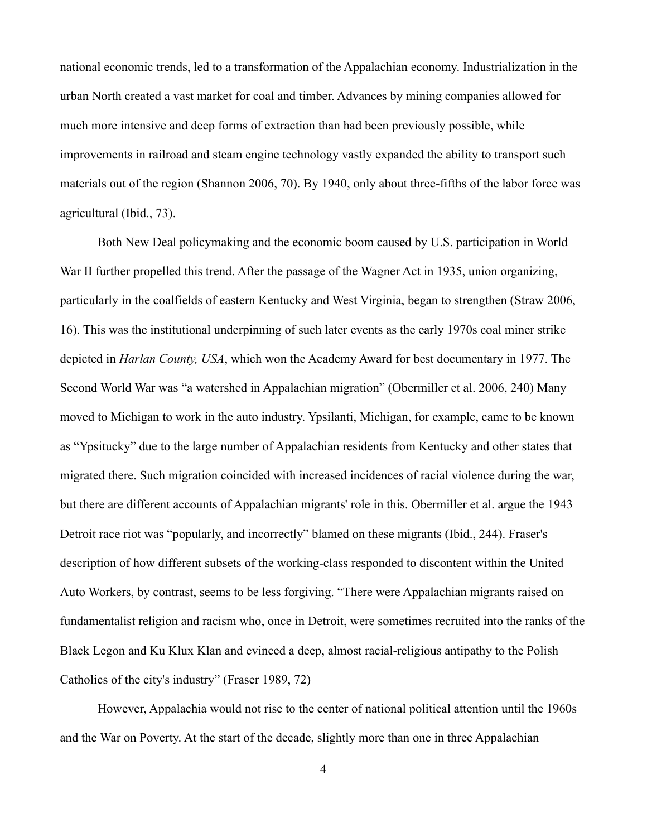national economic trends, led to a transformation of the Appalachian economy. Industrialization in the urban North created a vast market for coal and timber. Advances by mining companies allowed for much more intensive and deep forms of extraction than had been previously possible, while improvements in railroad and steam engine technology vastly expanded the ability to transport such materials out of the region (Shannon 2006, 70). By 1940, only about three-fifths of the labor force was agricultural (Ibid., 73).

Both New Deal policymaking and the economic boom caused by U.S. participation in World War II further propelled this trend. After the passage of the Wagner Act in 1935, union organizing, particularly in the coalfields of eastern Kentucky and West Virginia, began to strengthen (Straw 2006, 16). This was the institutional underpinning of such later events as the early 1970s coal miner strike depicted in *Harlan County, USA*, which won the Academy Award for best documentary in 1977. The Second World War was "a watershed in Appalachian migration" (Obermiller et al. 2006, 240) Many moved to Michigan to work in the auto industry. Ypsilanti, Michigan, for example, came to be known as "Ypsitucky" due to the large number of Appalachian residents from Kentucky and other states that migrated there. Such migration coincided with increased incidences of racial violence during the war, but there are different accounts of Appalachian migrants' role in this. Obermiller et al. argue the 1943 Detroit race riot was "popularly, and incorrectly" blamed on these migrants (Ibid., 244). Fraser's description of how different subsets of the working-class responded to discontent within the United Auto Workers, by contrast, seems to be less forgiving. "There were Appalachian migrants raised on fundamentalist religion and racism who, once in Detroit, were sometimes recruited into the ranks of the Black Legon and Ku Klux Klan and evinced a deep, almost racial-religious antipathy to the Polish Catholics of the city's industry" (Fraser 1989, 72)

However, Appalachia would not rise to the center of national political attention until the 1960s and the War on Poverty. At the start of the decade, slightly more than one in three Appalachian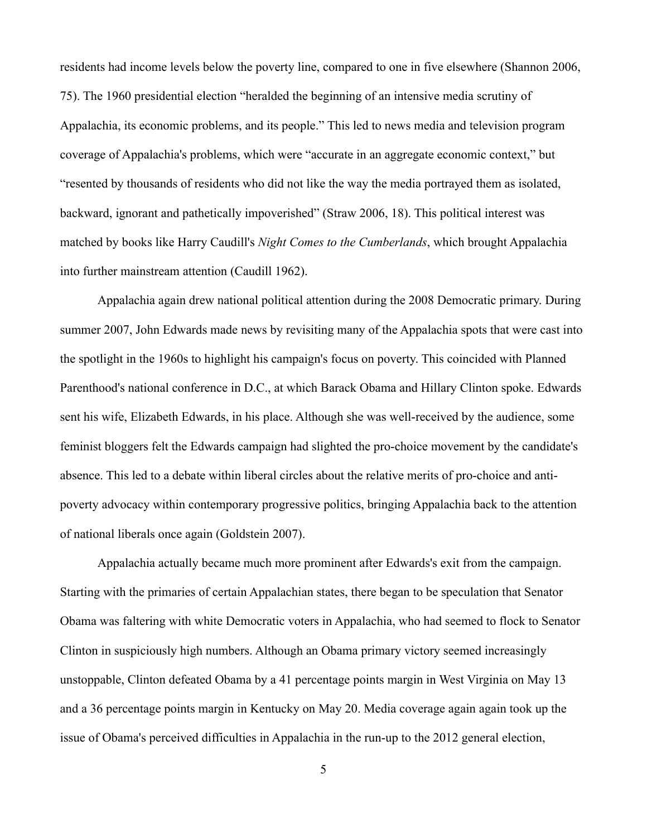residents had income levels below the poverty line, compared to one in five elsewhere (Shannon 2006, 75). The 1960 presidential election "heralded the beginning of an intensive media scrutiny of Appalachia, its economic problems, and its people." This led to news media and television program coverage of Appalachia's problems, which were "accurate in an aggregate economic context," but "resented by thousands of residents who did not like the way the media portrayed them as isolated, backward, ignorant and pathetically impoverished" (Straw 2006, 18). This political interest was matched by books like Harry Caudill's *Night Comes to the Cumberlands*, which brought Appalachia into further mainstream attention (Caudill 1962).

Appalachia again drew national political attention during the 2008 Democratic primary. During summer 2007, John Edwards made news by revisiting many of the Appalachia spots that were cast into the spotlight in the 1960s to highlight his campaign's focus on poverty. This coincided with Planned Parenthood's national conference in D.C., at which Barack Obama and Hillary Clinton spoke. Edwards sent his wife, Elizabeth Edwards, in his place. Although she was well-received by the audience, some feminist bloggers felt the Edwards campaign had slighted the pro-choice movement by the candidate's absence. This led to a debate within liberal circles about the relative merits of pro-choice and antipoverty advocacy within contemporary progressive politics, bringing Appalachia back to the attention of national liberals once again (Goldstein 2007).

Appalachia actually became much more prominent after Edwards's exit from the campaign. Starting with the primaries of certain Appalachian states, there began to be speculation that Senator Obama was faltering with white Democratic voters in Appalachia, who had seemed to flock to Senator Clinton in suspiciously high numbers. Although an Obama primary victory seemed increasingly unstoppable, Clinton defeated Obama by a 41 percentage points margin in West Virginia on May 13 and a 36 percentage points margin in Kentucky on May 20. Media coverage again again took up the issue of Obama's perceived difficulties in Appalachia in the run-up to the 2012 general election,

5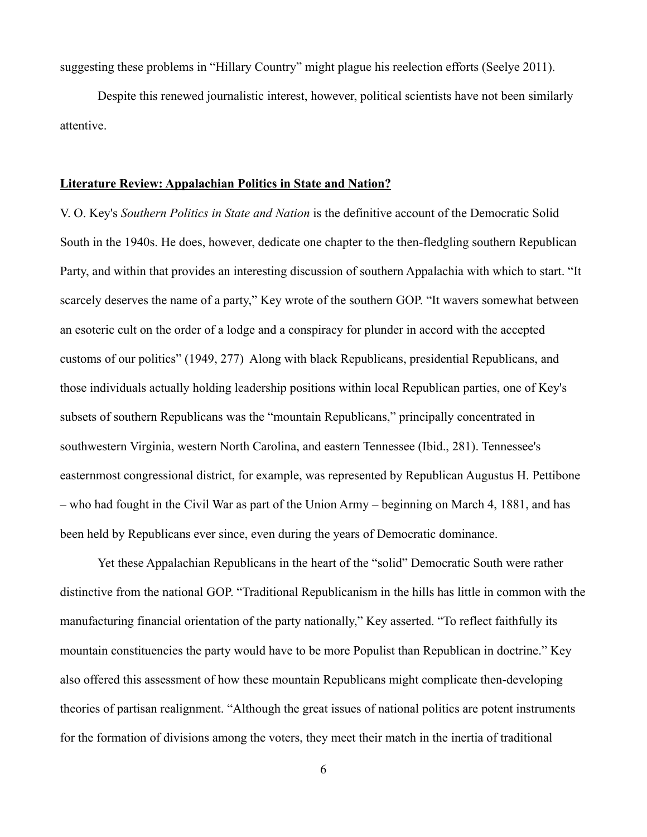suggesting these problems in "Hillary Country" might plague his reelection efforts (Seelye 2011).

Despite this renewed journalistic interest, however, political scientists have not been similarly attentive.

#### **Literature Review: Appalachian Politics in State and Nation?**

V. O. Key's *Southern Politics in State and Nation* is the definitive account of the Democratic Solid South in the 1940s. He does, however, dedicate one chapter to the then-fledgling southern Republican Party, and within that provides an interesting discussion of southern Appalachia with which to start. "It scarcely deserves the name of a party," Key wrote of the southern GOP. "It wavers somewhat between an esoteric cult on the order of a lodge and a conspiracy for plunder in accord with the accepted customs of our politics" (1949, 277) Along with black Republicans, presidential Republicans, and those individuals actually holding leadership positions within local Republican parties, one of Key's subsets of southern Republicans was the "mountain Republicans," principally concentrated in southwestern Virginia, western North Carolina, and eastern Tennessee (Ibid., 281). Tennessee's easternmost congressional district, for example, was represented by Republican Augustus H. Pettibone – who had fought in the Civil War as part of the Union Army – beginning on March 4, 1881, and has been held by Republicans ever since, even during the years of Democratic dominance.

Yet these Appalachian Republicans in the heart of the "solid" Democratic South were rather distinctive from the national GOP. "Traditional Republicanism in the hills has little in common with the manufacturing financial orientation of the party nationally," Key asserted. "To reflect faithfully its mountain constituencies the party would have to be more Populist than Republican in doctrine." Key also offered this assessment of how these mountain Republicans might complicate then-developing theories of partisan realignment. "Although the great issues of national politics are potent instruments for the formation of divisions among the voters, they meet their match in the inertia of traditional

6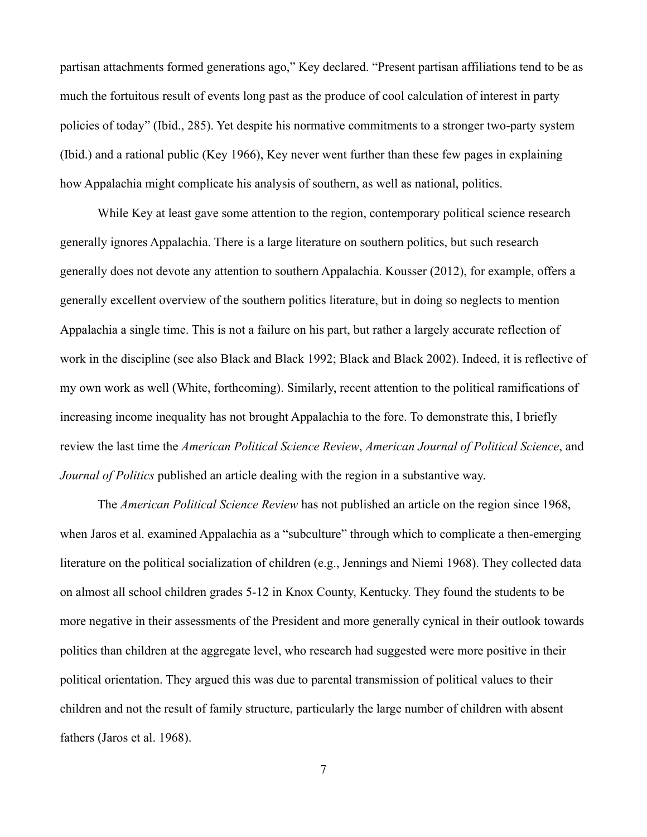partisan attachments formed generations ago," Key declared. "Present partisan affiliations tend to be as much the fortuitous result of events long past as the produce of cool calculation of interest in party policies of today" (Ibid., 285). Yet despite his normative commitments to a stronger two-party system (Ibid.) and a rational public (Key 1966), Key never went further than these few pages in explaining how Appalachia might complicate his analysis of southern, as well as national, politics.

While Key at least gave some attention to the region, contemporary political science research generally ignores Appalachia. There is a large literature on southern politics, but such research generally does not devote any attention to southern Appalachia. Kousser (2012), for example, offers a generally excellent overview of the southern politics literature, but in doing so neglects to mention Appalachia a single time. This is not a failure on his part, but rather a largely accurate reflection of work in the discipline (see also Black and Black 1992; Black and Black 2002). Indeed, it is reflective of my own work as well (White, forthcoming). Similarly, recent attention to the political ramifications of increasing income inequality has not brought Appalachia to the fore. To demonstrate this, I briefly review the last time the *American Political Science Review*, *American Journal of Political Science*, and *Journal of Politics* published an article dealing with the region in a substantive way.

The *American Political Science Review* has not published an article on the region since 1968, when Jaros et al. examined Appalachia as a "subculture" through which to complicate a then-emerging literature on the political socialization of children (e.g., Jennings and Niemi 1968). They collected data on almost all school children grades 5-12 in Knox County, Kentucky. They found the students to be more negative in their assessments of the President and more generally cynical in their outlook towards politics than children at the aggregate level, who research had suggested were more positive in their political orientation. They argued this was due to parental transmission of political values to their children and not the result of family structure, particularly the large number of children with absent fathers (Jaros et al. 1968).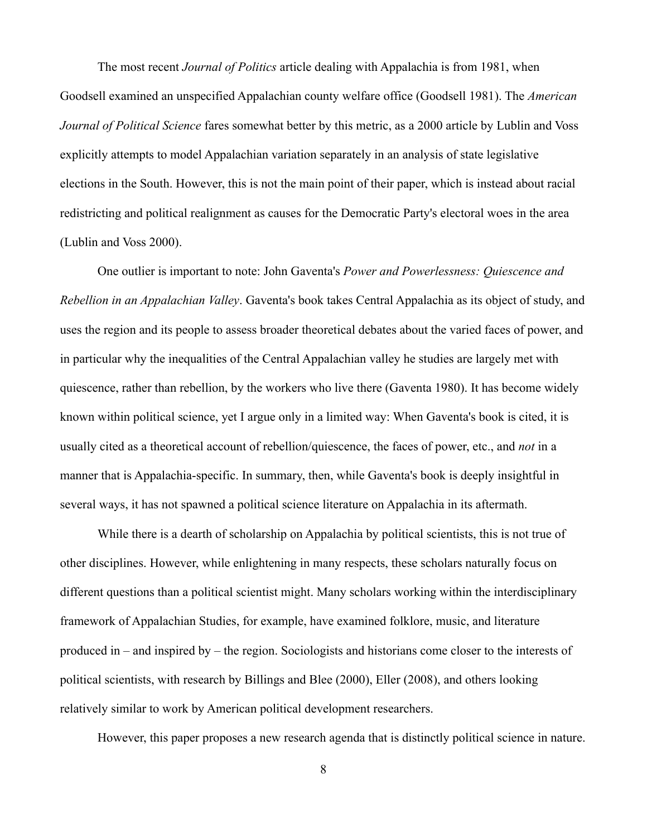The most recent *Journal of Politics* article dealing with Appalachia is from 1981, when Goodsell examined an unspecified Appalachian county welfare office (Goodsell 1981). The *American Journal of Political Science* fares somewhat better by this metric, as a 2000 article by Lublin and Voss explicitly attempts to model Appalachian variation separately in an analysis of state legislative elections in the South. However, this is not the main point of their paper, which is instead about racial redistricting and political realignment as causes for the Democratic Party's electoral woes in the area (Lublin and Voss 2000).

One outlier is important to note: John Gaventa's *Power and Powerlessness: Quiescence and Rebellion in an Appalachian Valley*. Gaventa's book takes Central Appalachia as its object of study, and uses the region and its people to assess broader theoretical debates about the varied faces of power, and in particular why the inequalities of the Central Appalachian valley he studies are largely met with quiescence, rather than rebellion, by the workers who live there (Gaventa 1980). It has become widely known within political science, yet I argue only in a limited way: When Gaventa's book is cited, it is usually cited as a theoretical account of rebellion/quiescence, the faces of power, etc., and *not* in a manner that is Appalachia-specific. In summary, then, while Gaventa's book is deeply insightful in several ways, it has not spawned a political science literature on Appalachia in its aftermath.

While there is a dearth of scholarship on Appalachia by political scientists, this is not true of other disciplines. However, while enlightening in many respects, these scholars naturally focus on different questions than a political scientist might. Many scholars working within the interdisciplinary framework of Appalachian Studies, for example, have examined folklore, music, and literature produced in – and inspired by – the region. Sociologists and historians come closer to the interests of political scientists, with research by Billings and Blee (2000), Eller (2008), and others looking relatively similar to work by American political development researchers.

However, this paper proposes a new research agenda that is distinctly political science in nature.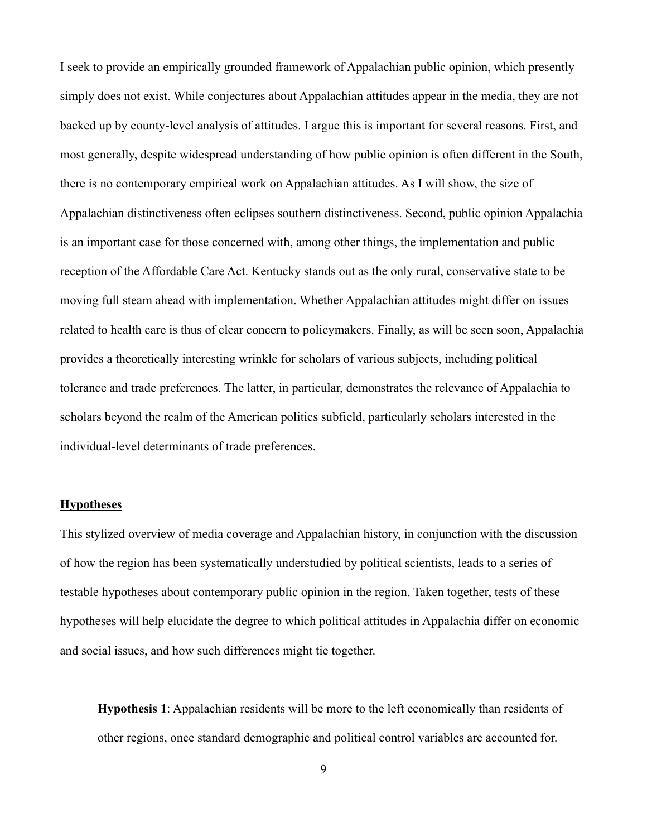I seek to provide an empirically grounded framework of Appalachian public opinion, which presently simply does not exist. While conjectures about Appalachian attitudes appear in the media, they are not backed up by county-level analysis of attitudes. I argue this is important for several reasons. First, and most generally, despite widespread understanding of how public opinion is often different in the South, there is no contemporary empirical work on Appalachian attitudes. As I will show, the size of Appalachian distinctiveness often eclipses southern distinctiveness. Second, public opinion Appalachia is an important case for those concerned with, among other things, the implementation and public reception of the Affordable Care Act. Kentucky stands out as the only rural, conservative state to be moving full steam ahead with implementation. Whether Appalachian attitudes might differ on issues related to health care is thus of clear concern to policymakers. Finally, as will be seen soon, Appalachia provides a theoretically interesting wrinkle for scholars of various subjects, including political tolerance and trade preferences. The latter, in particular, demonstrates the relevance of Appalachia to scholars beyond the realm of the American politics subfield, particularly scholars interested in the individual-level determinants of trade preferences.

### **Hypotheses**

This stylized overview of media coverage and Appalachian history, in conjunction with the discussion of how the region has been systematically understudied by political scientists, leads to a series of testable hypotheses about contemporary public opinion in the region. Taken together, tests of these hypotheses will help elucidate the degree to which political attitudes in Appalachia differ on economic and social issues, and how such differences might tie together.

**Hypothesis 1**: Appalachian residents will be more to the left economically than residents of other regions, once standard demographic and political control variables are accounted for.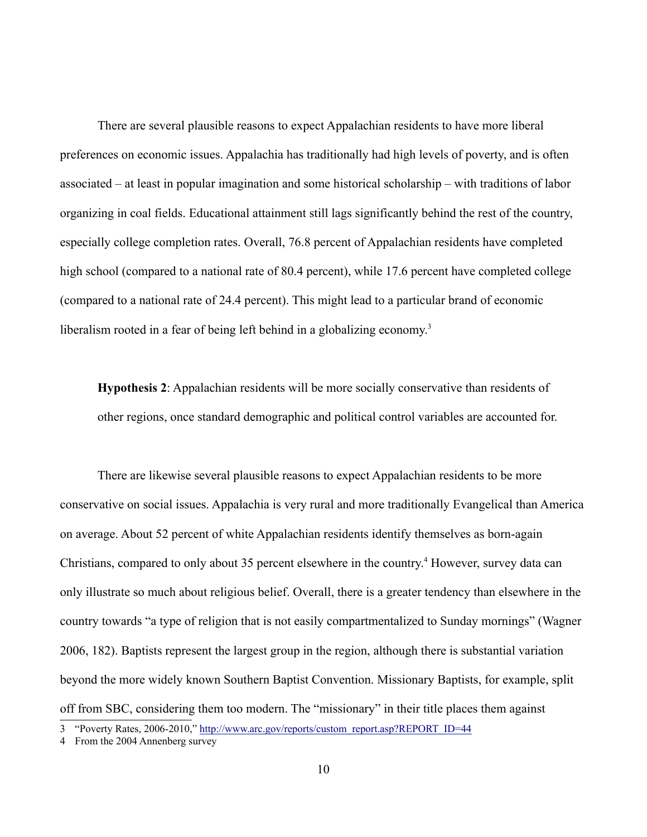There are several plausible reasons to expect Appalachian residents to have more liberal preferences on economic issues. Appalachia has traditionally had high levels of poverty, and is often associated – at least in popular imagination and some historical scholarship – with traditions of labor organizing in coal fields. Educational attainment still lags significantly behind the rest of the country, especially college completion rates. Overall, 76.8 percent of Appalachian residents have completed high school (compared to a national rate of 80.4 percent), while 17.6 percent have completed college (compared to a national rate of 24.4 percent). This might lead to a particular brand of economic liberalism rooted in a fear of being left behind in a globalizing economy.<sup>3</sup>

**Hypothesis 2**: Appalachian residents will be more socially conservative than residents of other regions, once standard demographic and political control variables are accounted for.

There are likewise several plausible reasons to expect Appalachian residents to be more conservative on social issues. Appalachia is very rural and more traditionally Evangelical than America on average. About 52 percent of white Appalachian residents identify themselves as born-again Christians, compared to only about 35 percent elsewhere in the country.<sup>4</sup> However, survey data can only illustrate so much about religious belief. Overall, there is a greater tendency than elsewhere in the country towards "a type of religion that is not easily compartmentalized to Sunday mornings" (Wagner 2006, 182). Baptists represent the largest group in the region, although there is substantial variation beyond the more widely known Southern Baptist Convention. Missionary Baptists, for example, split off from SBC, considering them too modern. The "missionary" in their title places them against

<sup>3</sup> "Poverty Rates, 2006-2010," http://www.arc.gov/reports/custom\_report.asp?REPORT\_ID=44

<sup>4</sup> From the 2004 Annenberg survey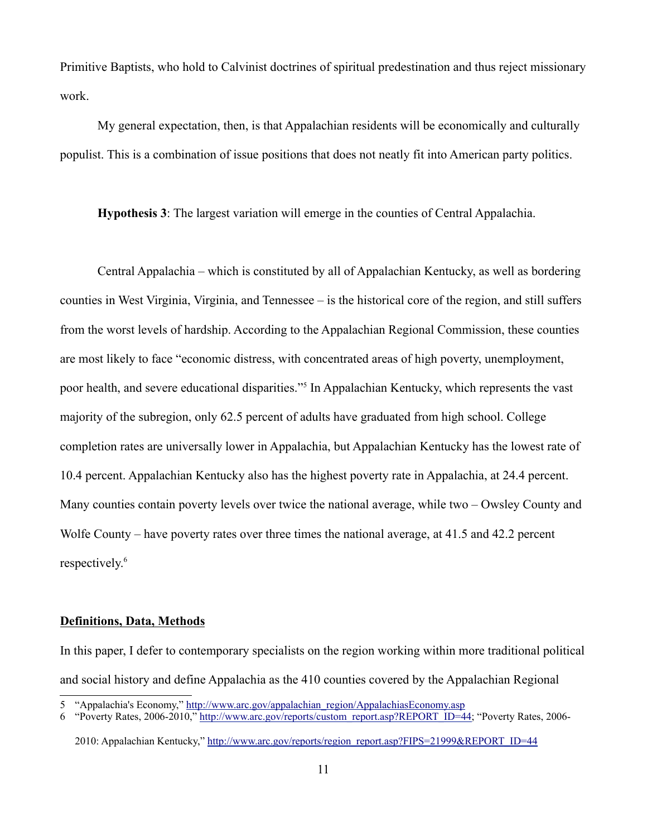Primitive Baptists, who hold to Calvinist doctrines of spiritual predestination and thus reject missionary work.

My general expectation, then, is that Appalachian residents will be economically and culturally populist. This is a combination of issue positions that does not neatly fit into American party politics.

**Hypothesis 3**: The largest variation will emerge in the counties of Central Appalachia.

Central Appalachia – which is constituted by all of Appalachian Kentucky, as well as bordering counties in West Virginia, Virginia, and Tennessee – is the historical core of the region, and still suffers from the worst levels of hardship. According to the Appalachian Regional Commission, these counties are most likely to face "economic distress, with concentrated areas of high poverty, unemployment, poor health, and severe educational disparities."<sup>5</sup> In Appalachian Kentucky, which represents the vast majority of the subregion, only 62.5 percent of adults have graduated from high school. College completion rates are universally lower in Appalachia, but Appalachian Kentucky has the lowest rate of 10.4 percent. Appalachian Kentucky also has the highest poverty rate in Appalachia, at 24.4 percent. Many counties contain poverty levels over twice the national average, while two – Owsley County and Wolfe County – have poverty rates over three times the national average, at 41.5 and 42.2 percent respectively.<sup>6</sup>

### **Definitions, Data, Methods**

In this paper, I defer to contemporary specialists on the region working within more traditional political and social history and define Appalachia as the 410 counties covered by the Appalachian Regional

<sup>5 &</sup>quot;Appalachia's Economy," http://www.arc.gov/appalachian\_region/AppalachiasEconomy.asp

<sup>6 &</sup>quot;Poverty Rates, 2006-2010," http://www.arc.gov/reports/custom\_report.asp?REPORT\_ID=44; "Poverty Rates, 2006-

<sup>2010:</sup> Appalachian Kentucky," http://www.arc.gov/reports/region\_report.asp?FIPS=21999&REPORT\_ID=44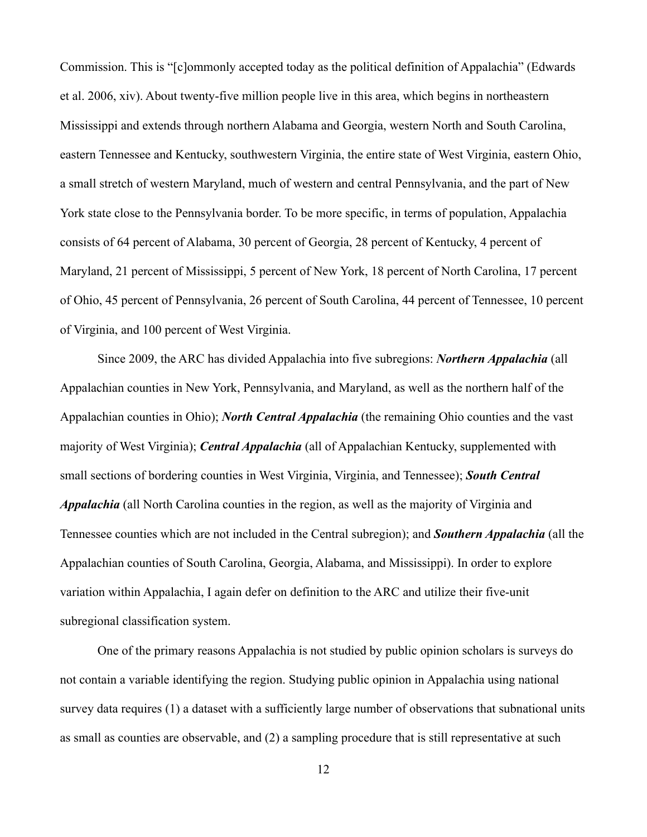Commission. This is "[c]ommonly accepted today as the political definition of Appalachia" (Edwards et al. 2006, xiv). About twenty-five million people live in this area, which begins in northeastern Mississippi and extends through northern Alabama and Georgia, western North and South Carolina, eastern Tennessee and Kentucky, southwestern Virginia, the entire state of West Virginia, eastern Ohio, a small stretch of western Maryland, much of western and central Pennsylvania, and the part of New York state close to the Pennsylvania border. To be more specific, in terms of population, Appalachia consists of 64 percent of Alabama, 30 percent of Georgia, 28 percent of Kentucky, 4 percent of Maryland, 21 percent of Mississippi, 5 percent of New York, 18 percent of North Carolina, 17 percent of Ohio, 45 percent of Pennsylvania, 26 percent of South Carolina, 44 percent of Tennessee, 10 percent of Virginia, and 100 percent of West Virginia.

Since 2009, the ARC has divided Appalachia into five subregions: *Northern Appalachia* (all Appalachian counties in New York, Pennsylvania, and Maryland, as well as the northern half of the Appalachian counties in Ohio); *North Central Appalachia* (the remaining Ohio counties and the vast majority of West Virginia); *Central Appalachia* (all of Appalachian Kentucky, supplemented with small sections of bordering counties in West Virginia, Virginia, and Tennessee); *South Central Appalachia* (all North Carolina counties in the region, as well as the majority of Virginia and Tennessee counties which are not included in the Central subregion); and *Southern Appalachia* (all the Appalachian counties of South Carolina, Georgia, Alabama, and Mississippi). In order to explore variation within Appalachia, I again defer on definition to the ARC and utilize their five-unit subregional classification system.

One of the primary reasons Appalachia is not studied by public opinion scholars is surveys do not contain a variable identifying the region. Studying public opinion in Appalachia using national survey data requires (1) a dataset with a sufficiently large number of observations that subnational units as small as counties are observable, and (2) a sampling procedure that is still representative at such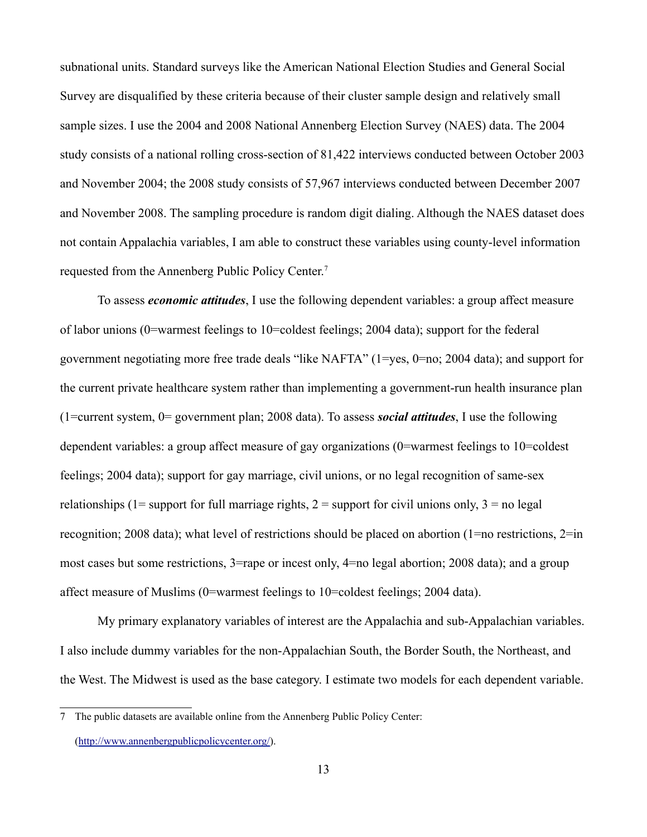subnational units. Standard surveys like the American National Election Studies and General Social Survey are disqualified by these criteria because of their cluster sample design and relatively small sample sizes. I use the 2004 and 2008 National Annenberg Election Survey (NAES) data. The 2004 study consists of a national rolling cross-section of 81,422 interviews conducted between October 2003 and November 2004; the 2008 study consists of 57,967 interviews conducted between December 2007 and November 2008. The sampling procedure is random digit dialing. Although the NAES dataset does not contain Appalachia variables, I am able to construct these variables using county-level information requested from the Annenberg Public Policy Center.7

To assess *economic attitudes*, I use the following dependent variables: a group affect measure of labor unions (0=warmest feelings to 10=coldest feelings; 2004 data); support for the federal government negotiating more free trade deals "like NAFTA" (1=yes, 0=no; 2004 data); and support for the current private healthcare system rather than implementing a government-run health insurance plan (1=current system, 0= government plan; 2008 data). To assess *social attitudes*, I use the following dependent variables: a group affect measure of gay organizations (0=warmest feelings to 10=coldest feelings; 2004 data); support for gay marriage, civil unions, or no legal recognition of same-sex relationships (1= support for full marriage rights,  $2 =$  support for civil unions only,  $3 =$  no legal recognition; 2008 data); what level of restrictions should be placed on abortion (1=no restrictions, 2=in most cases but some restrictions, 3=rape or incest only, 4=no legal abortion; 2008 data); and a group affect measure of Muslims (0=warmest feelings to 10=coldest feelings; 2004 data).

My primary explanatory variables of interest are the Appalachia and sub-Appalachian variables. I also include dummy variables for the non-Appalachian South, the Border South, the Northeast, and the West. The Midwest is used as the base category. I estimate two models for each dependent variable.

<sup>7</sup> The public datasets are available online from the Annenberg Public Policy Center: (http://www.annenbergpublicpolicycenter.org/).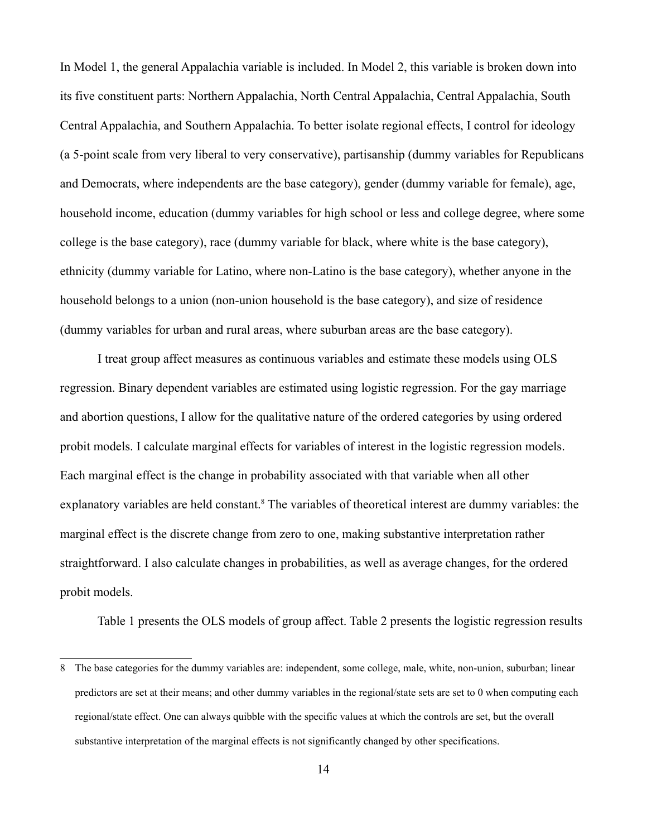In Model 1, the general Appalachia variable is included. In Model 2, this variable is broken down into its five constituent parts: Northern Appalachia, North Central Appalachia, Central Appalachia, South Central Appalachia, and Southern Appalachia. To better isolate regional effects, I control for ideology (a 5-point scale from very liberal to very conservative), partisanship (dummy variables for Republicans and Democrats, where independents are the base category), gender (dummy variable for female), age, household income, education (dummy variables for high school or less and college degree, where some college is the base category), race (dummy variable for black, where white is the base category), ethnicity (dummy variable for Latino, where non-Latino is the base category), whether anyone in the household belongs to a union (non-union household is the base category), and size of residence (dummy variables for urban and rural areas, where suburban areas are the base category).

I treat group affect measures as continuous variables and estimate these models using OLS regression. Binary dependent variables are estimated using logistic regression. For the gay marriage and abortion questions, I allow for the qualitative nature of the ordered categories by using ordered probit models. I calculate marginal effects for variables of interest in the logistic regression models. Each marginal effect is the change in probability associated with that variable when all other explanatory variables are held constant.<sup>8</sup> The variables of theoretical interest are dummy variables: the marginal effect is the discrete change from zero to one, making substantive interpretation rather straightforward. I also calculate changes in probabilities, as well as average changes, for the ordered probit models.

Table 1 presents the OLS models of group affect. Table 2 presents the logistic regression results

<sup>8</sup> The base categories for the dummy variables are: independent, some college, male, white, non-union, suburban; linear predictors are set at their means; and other dummy variables in the regional/state sets are set to 0 when computing each regional/state effect. One can always quibble with the specific values at which the controls are set, but the overall substantive interpretation of the marginal effects is not significantly changed by other specifications.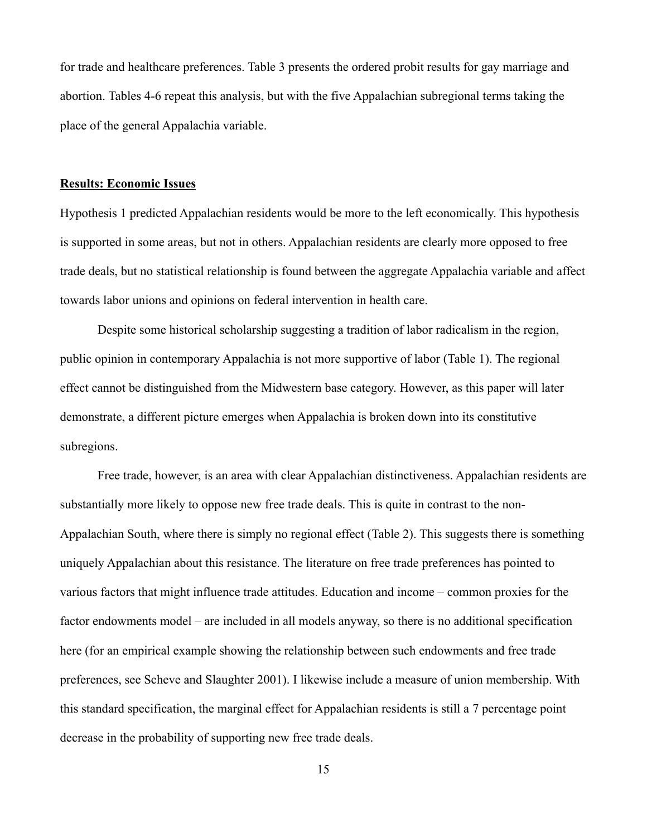for trade and healthcare preferences. Table 3 presents the ordered probit results for gay marriage and abortion. Tables 4-6 repeat this analysis, but with the five Appalachian subregional terms taking the place of the general Appalachia variable.

#### **Results: Economic Issues**

Hypothesis 1 predicted Appalachian residents would be more to the left economically. This hypothesis is supported in some areas, but not in others. Appalachian residents are clearly more opposed to free trade deals, but no statistical relationship is found between the aggregate Appalachia variable and affect towards labor unions and opinions on federal intervention in health care.

Despite some historical scholarship suggesting a tradition of labor radicalism in the region, public opinion in contemporary Appalachia is not more supportive of labor (Table 1). The regional effect cannot be distinguished from the Midwestern base category. However, as this paper will later demonstrate, a different picture emerges when Appalachia is broken down into its constitutive subregions.

Free trade, however, is an area with clear Appalachian distinctiveness. Appalachian residents are substantially more likely to oppose new free trade deals. This is quite in contrast to the non-Appalachian South, where there is simply no regional effect (Table 2). This suggests there is something uniquely Appalachian about this resistance. The literature on free trade preferences has pointed to various factors that might influence trade attitudes. Education and income – common proxies for the factor endowments model – are included in all models anyway, so there is no additional specification here (for an empirical example showing the relationship between such endowments and free trade preferences, see Scheve and Slaughter 2001). I likewise include a measure of union membership. With this standard specification, the marginal effect for Appalachian residents is still a 7 percentage point decrease in the probability of supporting new free trade deals.

15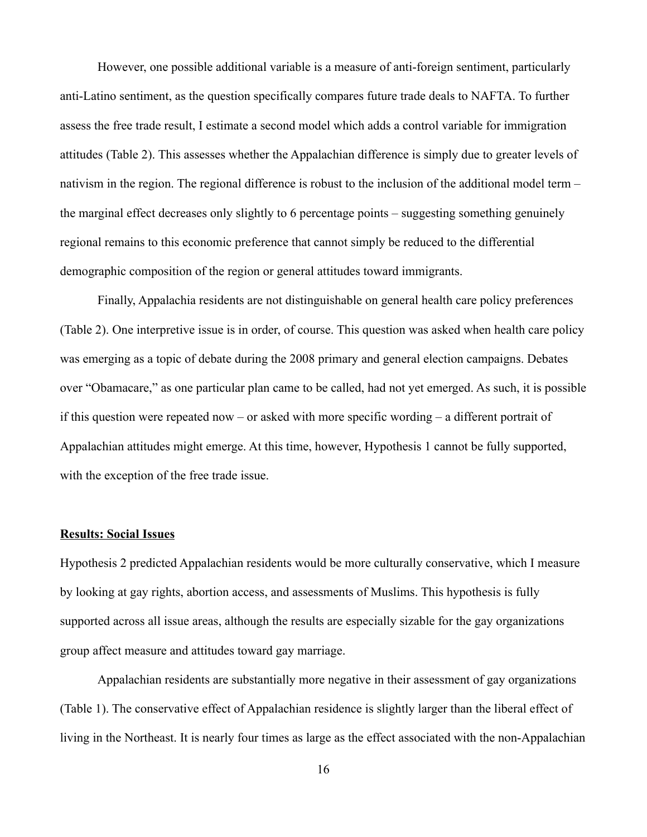However, one possible additional variable is a measure of anti-foreign sentiment, particularly anti-Latino sentiment, as the question specifically compares future trade deals to NAFTA. To further assess the free trade result, I estimate a second model which adds a control variable for immigration attitudes (Table 2). This assesses whether the Appalachian difference is simply due to greater levels of nativism in the region. The regional difference is robust to the inclusion of the additional model term – the marginal effect decreases only slightly to 6 percentage points – suggesting something genuinely regional remains to this economic preference that cannot simply be reduced to the differential demographic composition of the region or general attitudes toward immigrants.

Finally, Appalachia residents are not distinguishable on general health care policy preferences (Table 2). One interpretive issue is in order, of course. This question was asked when health care policy was emerging as a topic of debate during the 2008 primary and general election campaigns. Debates over "Obamacare," as one particular plan came to be called, had not yet emerged. As such, it is possible if this question were repeated now – or asked with more specific wording – a different portrait of Appalachian attitudes might emerge. At this time, however, Hypothesis 1 cannot be fully supported, with the exception of the free trade issue.

#### **Results: Social Issues**

Hypothesis 2 predicted Appalachian residents would be more culturally conservative, which I measure by looking at gay rights, abortion access, and assessments of Muslims. This hypothesis is fully supported across all issue areas, although the results are especially sizable for the gay organizations group affect measure and attitudes toward gay marriage.

Appalachian residents are substantially more negative in their assessment of gay organizations (Table 1). The conservative effect of Appalachian residence is slightly larger than the liberal effect of living in the Northeast. It is nearly four times as large as the effect associated with the non-Appalachian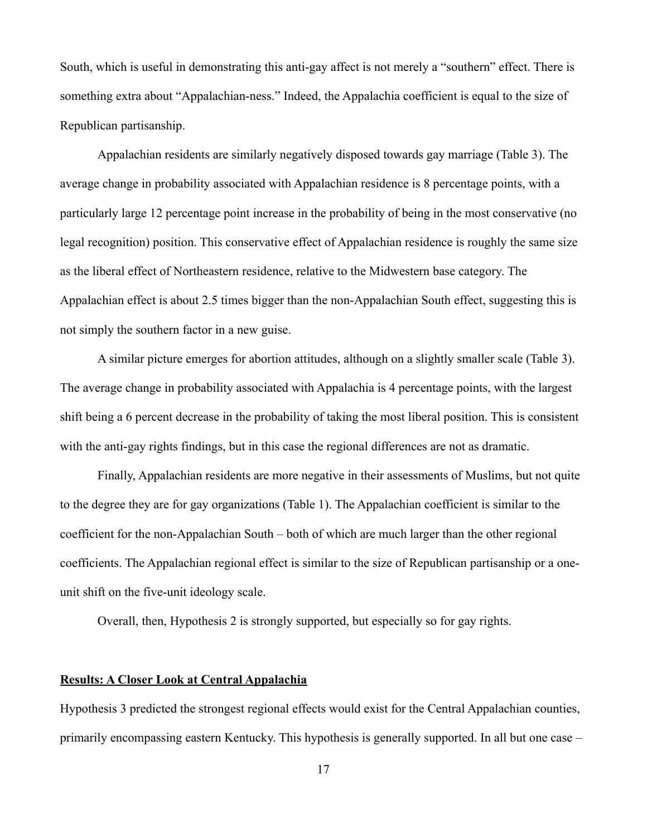South, which is useful in demonstrating this anti-gay affect is not merely a "southern" effect. There is something extra about "Appalachian-ness." Indeed, the Appalachia coefficient is equal to the size of Republican partisanship.

Appalachian residents are similarly negatively disposed towards gay marriage (Table 3). The average change in probability associated with Appalachian residence is 8 percentage points, with a particularly large 12 percentage point increase in the probability of being in the most conservative (no legal recognition) position. This conservative effect of Appalachian residence is roughly the same size as the liberal effect of Northeastern residence, relative to the Midwestern base category. The Appalachian effect is about 2.5 times bigger than the non-Appalachian South effect, suggesting this is not simply the southern factor in a new guise.

A similar picture emerges for abortion attitudes, although on a slightly smaller scale (Table 3). The average change in probability associated with Appalachia is 4 percentage points, with the largest shift being a 6 percent decrease in the probability of taking the most liberal position. This is consistent with the anti-gay rights findings, but in this case the regional differences are not as dramatic.

Finally, Appalachian residents are more negative in their assessments of Muslims, but not quite to the degree they are for gay organizations (Table 1). The Appalachian coefficient is similar to the coefficient for the non-Appalachian South – both of which are much larger than the other regional coefficients. The Appalachian regional effect is similar to the size of Republican partisanship or a oneunit shift on the five-unit ideology scale.

Overall, then, Hypothesis 2 is strongly supported, but especially so for gay rights.

## **Results: A Closer Look at Central Appalachia**

Hypothesis 3 predicted the strongest regional effects would exist for the Central Appalachian counties, primarily encompassing eastern Kentucky. This hypothesis is generally supported. In all but one case –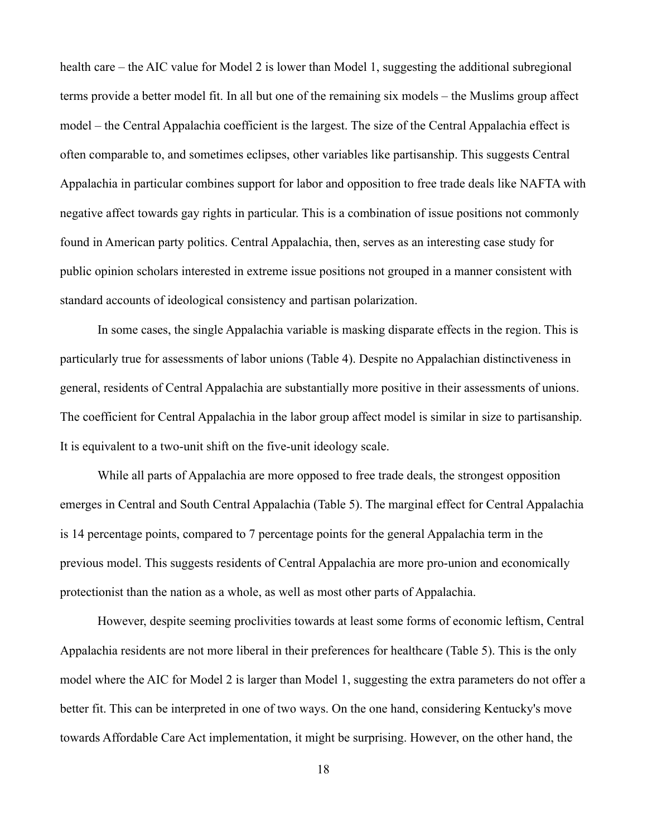health care – the AIC value for Model 2 is lower than Model 1, suggesting the additional subregional terms provide a better model fit. In all but one of the remaining six models – the Muslims group affect model – the Central Appalachia coefficient is the largest. The size of the Central Appalachia effect is often comparable to, and sometimes eclipses, other variables like partisanship. This suggests Central Appalachia in particular combines support for labor and opposition to free trade deals like NAFTA with negative affect towards gay rights in particular. This is a combination of issue positions not commonly found in American party politics. Central Appalachia, then, serves as an interesting case study for public opinion scholars interested in extreme issue positions not grouped in a manner consistent with standard accounts of ideological consistency and partisan polarization.

In some cases, the single Appalachia variable is masking disparate effects in the region. This is particularly true for assessments of labor unions (Table 4). Despite no Appalachian distinctiveness in general, residents of Central Appalachia are substantially more positive in their assessments of unions. The coefficient for Central Appalachia in the labor group affect model is similar in size to partisanship. It is equivalent to a two-unit shift on the five-unit ideology scale.

While all parts of Appalachia are more opposed to free trade deals, the strongest opposition emerges in Central and South Central Appalachia (Table 5). The marginal effect for Central Appalachia is 14 percentage points, compared to 7 percentage points for the general Appalachia term in the previous model. This suggests residents of Central Appalachia are more pro-union and economically protectionist than the nation as a whole, as well as most other parts of Appalachia.

However, despite seeming proclivities towards at least some forms of economic leftism, Central Appalachia residents are not more liberal in their preferences for healthcare (Table 5). This is the only model where the AIC for Model 2 is larger than Model 1, suggesting the extra parameters do not offer a better fit. This can be interpreted in one of two ways. On the one hand, considering Kentucky's move towards Affordable Care Act implementation, it might be surprising. However, on the other hand, the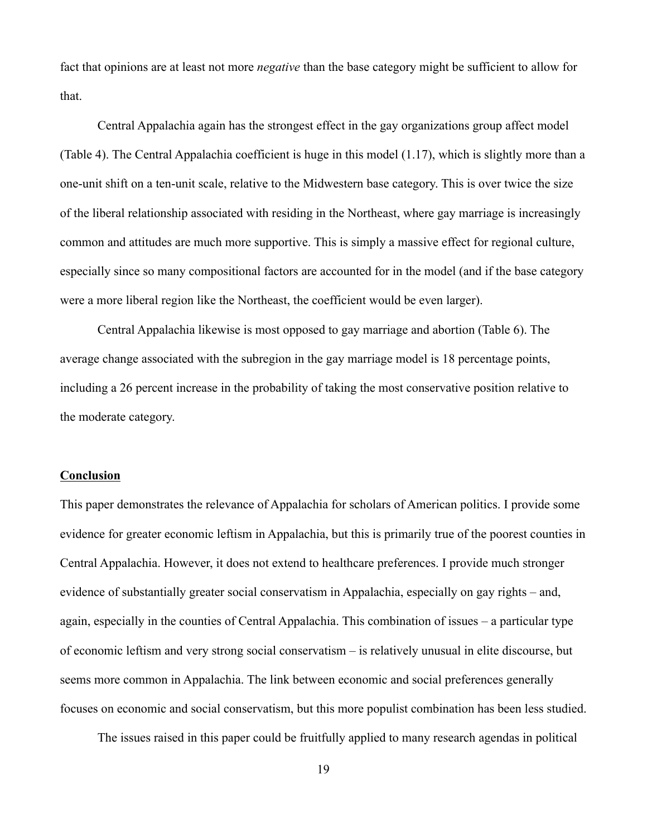fact that opinions are at least not more *negative* than the base category might be sufficient to allow for that.

Central Appalachia again has the strongest effect in the gay organizations group affect model (Table 4). The Central Appalachia coefficient is huge in this model (1.17), which is slightly more than a one-unit shift on a ten-unit scale, relative to the Midwestern base category. This is over twice the size of the liberal relationship associated with residing in the Northeast, where gay marriage is increasingly common and attitudes are much more supportive. This is simply a massive effect for regional culture, especially since so many compositional factors are accounted for in the model (and if the base category were a more liberal region like the Northeast, the coefficient would be even larger).

Central Appalachia likewise is most opposed to gay marriage and abortion (Table 6). The average change associated with the subregion in the gay marriage model is 18 percentage points, including a 26 percent increase in the probability of taking the most conservative position relative to the moderate category.

### **Conclusion**

This paper demonstrates the relevance of Appalachia for scholars of American politics. I provide some evidence for greater economic leftism in Appalachia, but this is primarily true of the poorest counties in Central Appalachia. However, it does not extend to healthcare preferences. I provide much stronger evidence of substantially greater social conservatism in Appalachia, especially on gay rights – and, again, especially in the counties of Central Appalachia. This combination of issues – a particular type of economic leftism and very strong social conservatism – is relatively unusual in elite discourse, but seems more common in Appalachia. The link between economic and social preferences generally focuses on economic and social conservatism, but this more populist combination has been less studied.

The issues raised in this paper could be fruitfully applied to many research agendas in political

19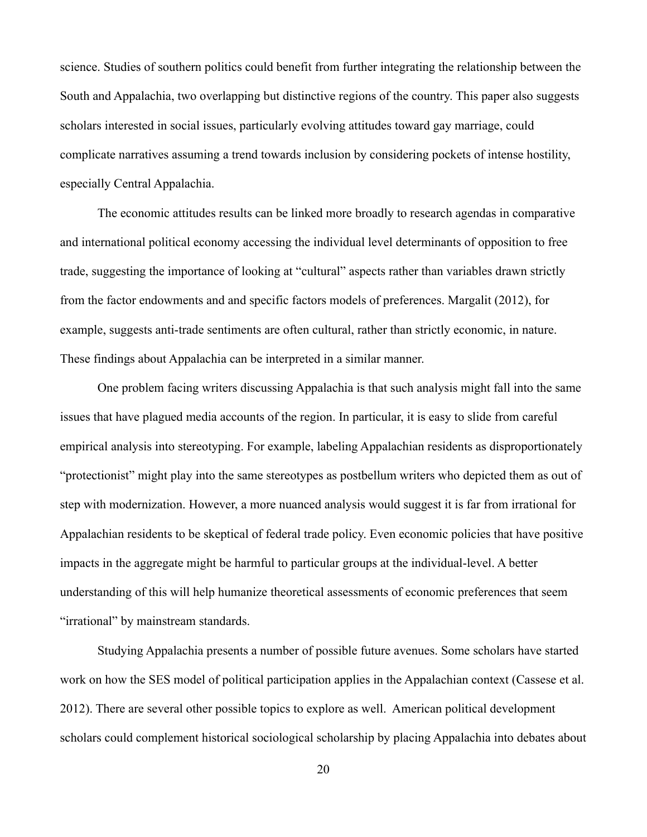science. Studies of southern politics could benefit from further integrating the relationship between the South and Appalachia, two overlapping but distinctive regions of the country. This paper also suggests scholars interested in social issues, particularly evolving attitudes toward gay marriage, could complicate narratives assuming a trend towards inclusion by considering pockets of intense hostility, especially Central Appalachia.

The economic attitudes results can be linked more broadly to research agendas in comparative and international political economy accessing the individual level determinants of opposition to free trade, suggesting the importance of looking at "cultural" aspects rather than variables drawn strictly from the factor endowments and and specific factors models of preferences. Margalit (2012), for example, suggests anti-trade sentiments are often cultural, rather than strictly economic, in nature. These findings about Appalachia can be interpreted in a similar manner.

One problem facing writers discussing Appalachia is that such analysis might fall into the same issues that have plagued media accounts of the region. In particular, it is easy to slide from careful empirical analysis into stereotyping. For example, labeling Appalachian residents as disproportionately "protectionist" might play into the same stereotypes as postbellum writers who depicted them as out of step with modernization. However, a more nuanced analysis would suggest it is far from irrational for Appalachian residents to be skeptical of federal trade policy. Even economic policies that have positive impacts in the aggregate might be harmful to particular groups at the individual-level. A better understanding of this will help humanize theoretical assessments of economic preferences that seem "irrational" by mainstream standards.

Studying Appalachia presents a number of possible future avenues. Some scholars have started work on how the SES model of political participation applies in the Appalachian context (Cassese et al. 2012). There are several other possible topics to explore as well. American political development scholars could complement historical sociological scholarship by placing Appalachia into debates about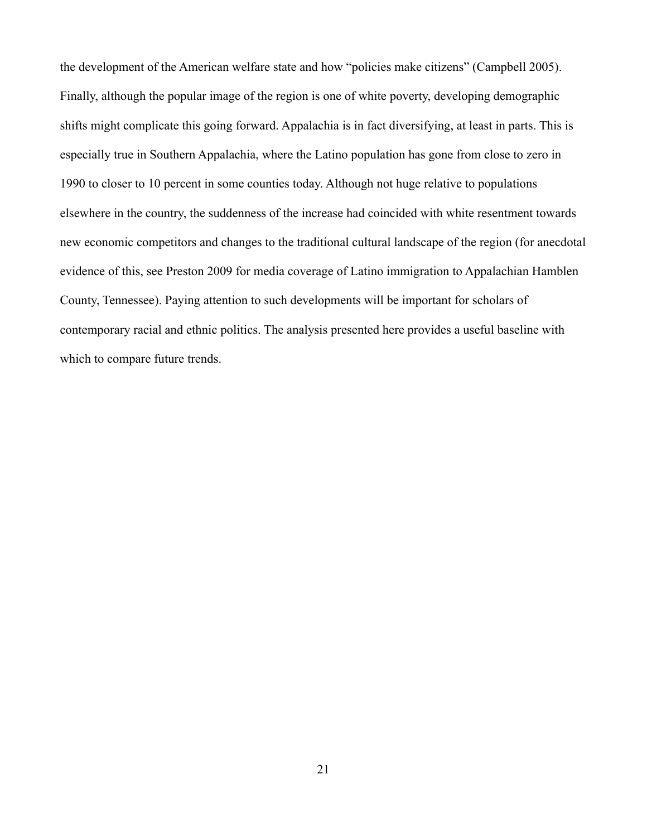the development of the American welfare state and how "policies make citizens" (Campbell 2005). Finally, although the popular image of the region is one of white poverty, developing demographic shifts might complicate this going forward. Appalachia is in fact diversifying, at least in parts. This is especially true in Southern Appalachia, where the Latino population has gone from close to zero in 1990 to closer to 10 percent in some counties today. Although not huge relative to populations elsewhere in the country, the suddenness of the increase had coincided with white resentment towards new economic competitors and changes to the traditional cultural landscape of the region (for anecdotal evidence of this, see Preston 2009 for media coverage of Latino immigration to Appalachian Hamblen County, Tennessee). Paying attention to such developments will be important for scholars of contemporary racial and ethnic politics. The analysis presented here provides a useful baseline with which to compare future trends.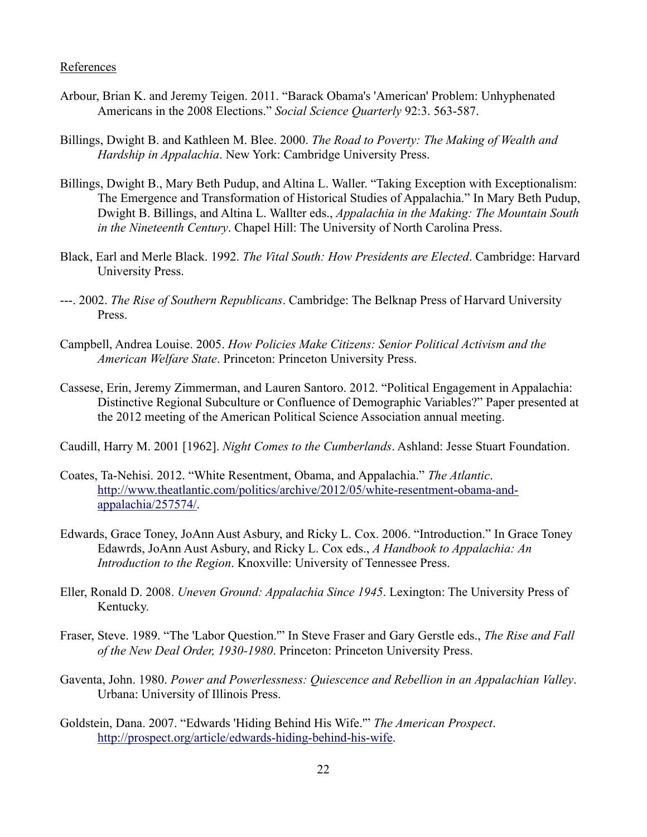#### **References**

- Arbour, Brian K. and Jeremy Teigen. 2011. "Barack Obama's 'American' Problem: Unhyphenated Americans in the 2008 Elections." *Social Science Quarterly* 92:3. 563-587.
- Billings, Dwight B. and Kathleen M. Blee. 2000. *The Road to Poverty: The Making of Wealth and Hardship in Appalachia*. New York: Cambridge University Press.
- Billings, Dwight B., Mary Beth Pudup, and Altina L. Waller. "Taking Exception with Exceptionalism: The Emergence and Transformation of Historical Studies of Appalachia." In Mary Beth Pudup, Dwight B. Billings, and Altina L. Wallter eds., *Appalachia in the Making: The Mountain South in the Nineteenth Century*. Chapel Hill: The University of North Carolina Press.
- Black, Earl and Merle Black. 1992. *The Vital South: How Presidents are Elected*. Cambridge: Harvard University Press.
- ---. 2002. *The Rise of Southern Republicans*. Cambridge: The Belknap Press of Harvard University Press.
- Campbell, Andrea Louise. 2005. *How Policies Make Citizens: Senior Political Activism and the American Welfare State*. Princeton: Princeton University Press.
- Cassese, Erin, Jeremy Zimmerman, and Lauren Santoro. 2012. "Political Engagement in Appalachia: Distinctive Regional Subculture or Confluence of Demographic Variables?" Paper presented at the 2012 meeting of the American Political Science Association annual meeting.
- Caudill, Harry M. 2001 [1962]. *Night Comes to the Cumberlands*. Ashland: Jesse Stuart Foundation.
- Coates, Ta-Nehisi. 2012. "White Resentment, Obama, and Appalachia." *The Atlantic*. http://www.theatlantic.com/politics/archive/2012/05/white-resentment-obama-andappalachia/257574/.
- Edwards, Grace Toney, JoAnn Aust Asbury, and Ricky L. Cox. 2006. "Introduction." In Grace Toney Edawrds, JoAnn Aust Asbury, and Ricky L. Cox eds., *A Handbook to Appalachia: An Introduction to the Region*. Knoxville: University of Tennessee Press.
- Eller, Ronald D. 2008. *Uneven Ground: Appalachia Since 1945*. Lexington: The University Press of Kentucky.
- Fraser, Steve. 1989. "The 'Labor Question.'" In Steve Fraser and Gary Gerstle eds., *The Rise and Fall of the New Deal Order, 1930-1980*. Princeton: Princeton University Press.
- Gaventa, John. 1980. *Power and Powerlessness: Quiescence and Rebellion in an Appalachian Valley*. Urbana: University of Illinois Press.
- Goldstein, Dana. 2007. "Edwards 'Hiding Behind His Wife.'" *The American Prospect*. http://prospect.org/article/edwards-hiding-behind-his-wife.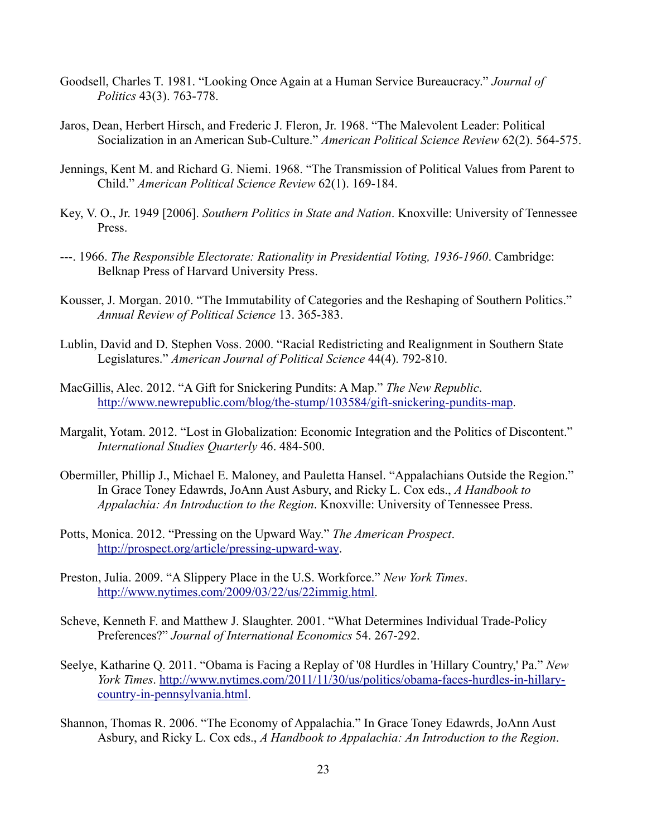- Goodsell, Charles T. 1981. "Looking Once Again at a Human Service Bureaucracy." *Journal of Politics* 43(3). 763-778.
- Jaros, Dean, Herbert Hirsch, and Frederic J. Fleron, Jr. 1968. "The Malevolent Leader: Political Socialization in an American Sub-Culture." *American Political Science Review* 62(2). 564-575.
- Jennings, Kent M. and Richard G. Niemi. 1968. "The Transmission of Political Values from Parent to Child." *American Political Science Review* 62(1). 169-184.
- Key, V. O., Jr. 1949 [2006]. *Southern Politics in State and Nation*. Knoxville: University of Tennessee Press.
- ---. 1966. *The Responsible Electorate: Rationality in Presidential Voting, 1936-1960*. Cambridge: Belknap Press of Harvard University Press.
- Kousser, J. Morgan. 2010. "The Immutability of Categories and the Reshaping of Southern Politics." *Annual Review of Political Science* 13. 365-383.
- Lublin, David and D. Stephen Voss. 2000. "Racial Redistricting and Realignment in Southern State Legislatures." *American Journal of Political Science* 44(4). 792-810.
- MacGillis, Alec. 2012. "A Gift for Snickering Pundits: A Map." *The New Republic*. http://www.newrepublic.com/blog/the-stump/103584/gift-snickering-pundits-map.
- Margalit, Yotam. 2012. "Lost in Globalization: Economic Integration and the Politics of Discontent." *International Studies Quarterly* 46. 484-500.
- Obermiller, Phillip J., Michael E. Maloney, and Pauletta Hansel. "Appalachians Outside the Region." In Grace Toney Edawrds, JoAnn Aust Asbury, and Ricky L. Cox eds., *A Handbook to Appalachia: An Introduction to the Region*. Knoxville: University of Tennessee Press.
- Potts, Monica. 2012. "Pressing on the Upward Way." *The American Prospect*. http://prospect.org/article/pressing-upward-way.
- Preston, Julia. 2009. "A Slippery Place in the U.S. Workforce." *New York Times*. http://www.nytimes.com/2009/03/22/us/22immig.html.
- Scheve, Kenneth F. and Matthew J. Slaughter. 2001. "What Determines Individual Trade-Policy Preferences?" *Journal of International Economics* 54. 267-292.
- Seelye, Katharine Q. 2011. "Obama is Facing a Replay of '08 Hurdles in 'Hillary Country,' Pa." *New York Times*. http://www.nytimes.com/2011/11/30/us/politics/obama-faces-hurdles-in-hillary country-in- pennsylvania.html.
- Shannon, Thomas R. 2006. "The Economy of Appalachia." In Grace Toney Edawrds, JoAnn Aust Asbury, and Ricky L. Cox eds., *A Handbook to Appalachia: An Introduction to the Region*.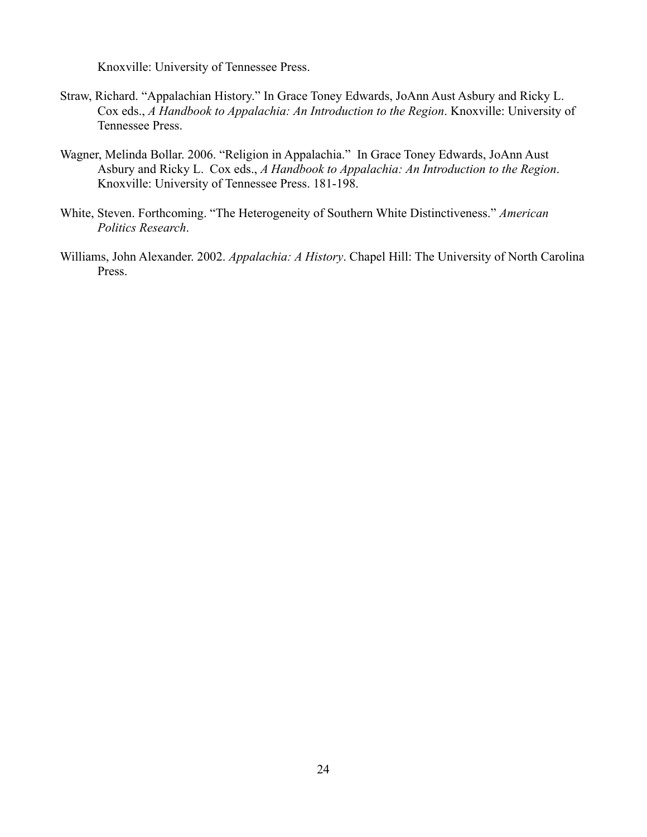Knoxville: University of Tennessee Press.

- Straw, Richard. "Appalachian History." In Grace Toney Edwards, JoAnn Aust Asbury and Ricky L. Cox eds., *A Handbook to Appalachia: An Introduction to the Region*. Knoxville: University of Tennessee Press.
- Wagner, Melinda Bollar. 2006. "Religion in Appalachia." In Grace Toney Edwards, JoAnn Aust Asbury and Ricky L. Cox eds., *A Handbook to Appalachia: An Introduction to the Region*. Knoxville: University of Tennessee Press. 181-198.
- White, Steven. Forthcoming. "The Heterogeneity of Southern White Distinctiveness." *American Politics Research*.
- Williams, John Alexander. 2002. *Appalachia: A History*. Chapel Hill: The University of North Carolina Press.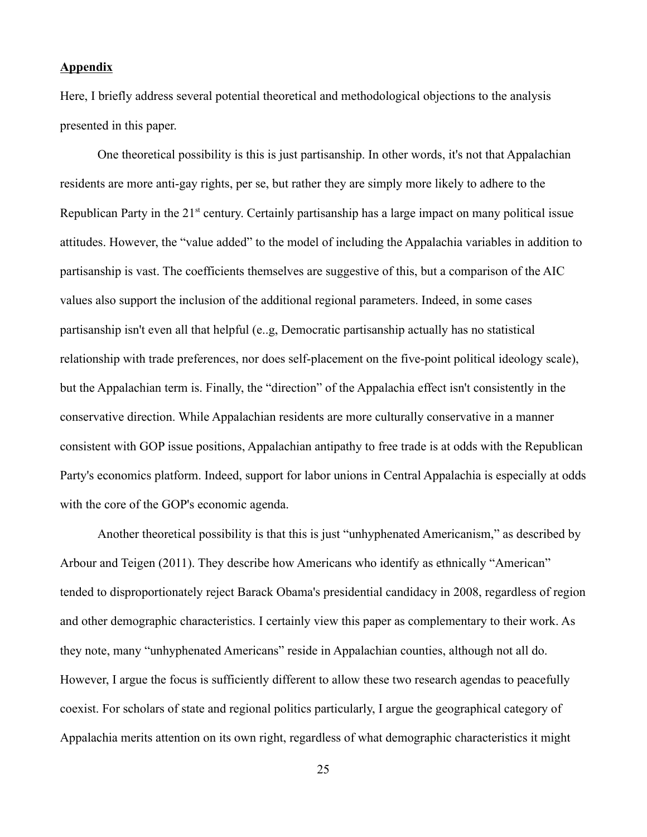#### **Appendix**

Here, I briefly address several potential theoretical and methodological objections to the analysis presented in this paper.

One theoretical possibility is this is just partisanship. In other words, it's not that Appalachian residents are more anti-gay rights, per se, but rather they are simply more likely to adhere to the Republican Party in the  $21^{st}$  century. Certainly partisanship has a large impact on many political issue attitudes. However, the "value added" to the model of including the Appalachia variables in addition to partisanship is vast. The coefficients themselves are suggestive of this, but a comparison of the AIC values also support the inclusion of the additional regional parameters. Indeed, in some cases partisanship isn't even all that helpful (e..g, Democratic partisanship actually has no statistical relationship with trade preferences, nor does self-placement on the five-point political ideology scale), but the Appalachian term is. Finally, the "direction" of the Appalachia effect isn't consistently in the conservative direction. While Appalachian residents are more culturally conservative in a manner consistent with GOP issue positions, Appalachian antipathy to free trade is at odds with the Republican Party's economics platform. Indeed, support for labor unions in Central Appalachia is especially at odds with the core of the GOP's economic agenda.

Another theoretical possibility is that this is just "unhyphenated Americanism," as described by Arbour and Teigen (2011). They describe how Americans who identify as ethnically "American" tended to disproportionately reject Barack Obama's presidential candidacy in 2008, regardless of region and other demographic characteristics. I certainly view this paper as complementary to their work. As they note, many "unhyphenated Americans" reside in Appalachian counties, although not all do. However, I argue the focus is sufficiently different to allow these two research agendas to peacefully coexist. For scholars of state and regional politics particularly, I argue the geographical category of Appalachia merits attention on its own right, regardless of what demographic characteristics it might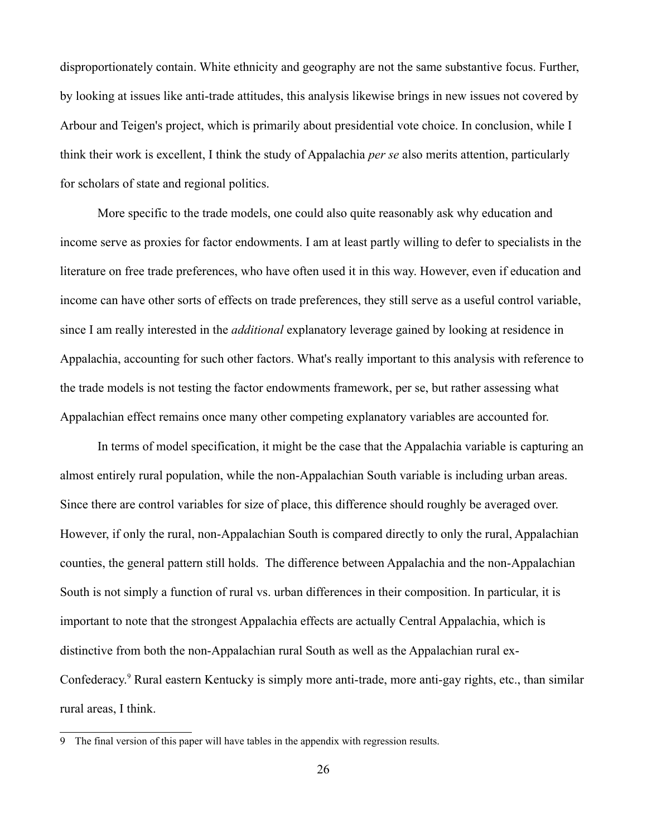disproportionately contain. White ethnicity and geography are not the same substantive focus. Further, by looking at issues like anti-trade attitudes, this analysis likewise brings in new issues not covered by Arbour and Teigen's project, which is primarily about presidential vote choice. In conclusion, while I think their work is excellent, I think the study of Appalachia *per se* also merits attention, particularly for scholars of state and regional politics.

More specific to the trade models, one could also quite reasonably ask why education and income serve as proxies for factor endowments. I am at least partly willing to defer to specialists in the literature on free trade preferences, who have often used it in this way. However, even if education and income can have other sorts of effects on trade preferences, they still serve as a useful control variable, since I am really interested in the *additional* explanatory leverage gained by looking at residence in Appalachia, accounting for such other factors. What's really important to this analysis with reference to the trade models is not testing the factor endowments framework, per se, but rather assessing what Appalachian effect remains once many other competing explanatory variables are accounted for.

In terms of model specification, it might be the case that the Appalachia variable is capturing an almost entirely rural population, while the non-Appalachian South variable is including urban areas. Since there are control variables for size of place, this difference should roughly be averaged over. However, if only the rural, non-Appalachian South is compared directly to only the rural, Appalachian counties, the general pattern still holds. The difference between Appalachia and the non-Appalachian South is not simply a function of rural vs. urban differences in their composition. In particular, it is important to note that the strongest Appalachia effects are actually Central Appalachia, which is distinctive from both the non-Appalachian rural South as well as the Appalachian rural ex-Confederacy.<sup>9</sup> Rural eastern Kentucky is simply more anti-trade, more anti-gay rights, etc., than similar rural areas, I think.

<sup>9</sup> The final version of this paper will have tables in the appendix with regression results.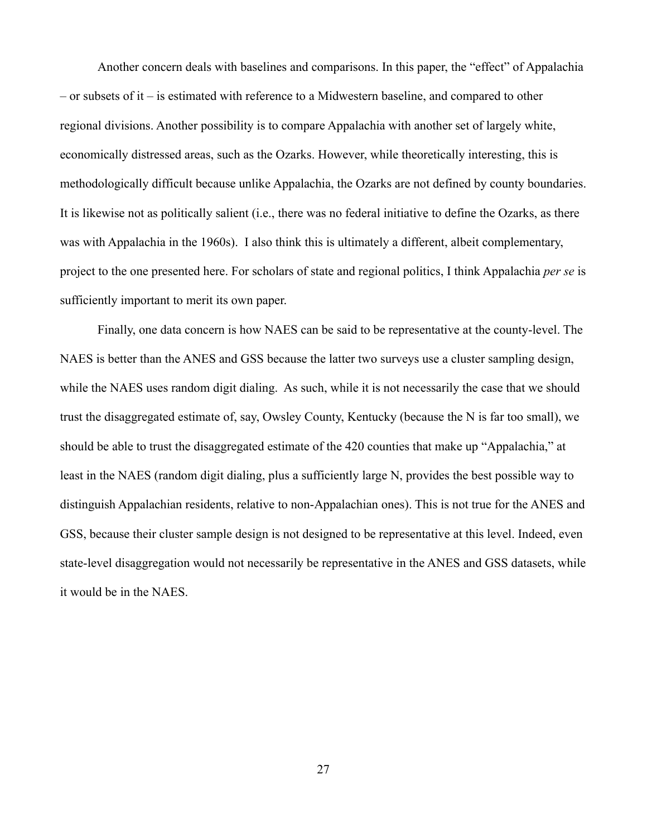Another concern deals with baselines and comparisons. In this paper, the "effect" of Appalachia – or subsets of it – is estimated with reference to a Midwestern baseline, and compared to other regional divisions. Another possibility is to compare Appalachia with another set of largely white, economically distressed areas, such as the Ozarks. However, while theoretically interesting, this is methodologically difficult because unlike Appalachia, the Ozarks are not defined by county boundaries. It is likewise not as politically salient (i.e., there was no federal initiative to define the Ozarks, as there was with Appalachia in the 1960s). I also think this is ultimately a different, albeit complementary, project to the one presented here. For scholars of state and regional politics, I think Appalachia *per se* is sufficiently important to merit its own paper.

Finally, one data concern is how NAES can be said to be representative at the county-level. The NAES is better than the ANES and GSS because the latter two surveys use a cluster sampling design, while the NAES uses random digit dialing. As such, while it is not necessarily the case that we should trust the disaggregated estimate of, say, Owsley County, Kentucky (because the N is far too small), we should be able to trust the disaggregated estimate of the 420 counties that make up "Appalachia," at least in the NAES (random digit dialing, plus a sufficiently large N, provides the best possible way to distinguish Appalachian residents, relative to non-Appalachian ones). This is not true for the ANES and GSS, because their cluster sample design is not designed to be representative at this level. Indeed, even state-level disaggregation would not necessarily be representative in the ANES and GSS datasets, while it would be in the NAES.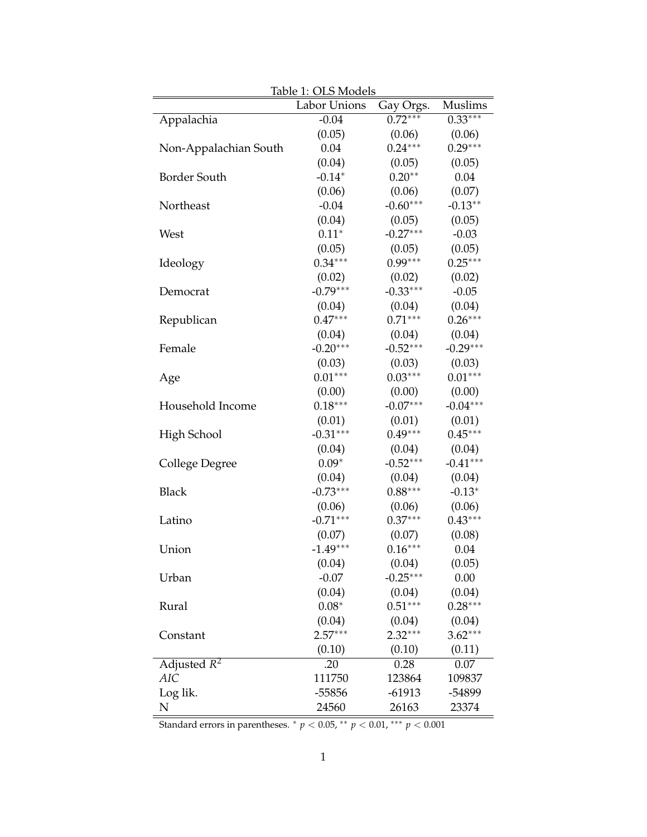|                           | Labor Unions | Gay Orgs.  | Muslims    |
|---------------------------|--------------|------------|------------|
| Appalachia                | $-0.04$      | $0.72***$  | $0.33***$  |
|                           | (0.05)       | (0.06)     | (0.06)     |
| Non-Appalachian South     | 0.04         | $0.24***$  | $0.29***$  |
|                           | (0.04)       | (0.05)     | (0.05)     |
| <b>Border South</b>       | $-0.14*$     | $0.20**$   | 0.04       |
|                           | (0.06)       | (0.06)     | (0.07)     |
| Northeast                 | $-0.04$      | $-0.60***$ | $-0.13**$  |
|                           | (0.04)       | (0.05)     | (0.05)     |
| West                      | $0.11*$      | $-0.27***$ | $-0.03$    |
|                           | (0.05)       | (0.05)     | (0.05)     |
| Ideology                  | $0.34***$    | $0.99***$  | $0.25***$  |
|                           | (0.02)       | (0.02)     | (0.02)     |
| Democrat                  | $-0.79***$   | $-0.33***$ | $-0.05$    |
|                           | (0.04)       | (0.04)     | (0.04)     |
| Republican                | $0.47***$    | $0.71***$  | $0.26***$  |
|                           | (0.04)       | (0.04)     | (0.04)     |
| Female                    | $-0.20***$   | $-0.52***$ | $-0.29***$ |
|                           | (0.03)       | (0.03)     | (0.03)     |
| Age                       | $0.01***$    | $0.03***$  | $0.01***$  |
|                           | (0.00)       | (0.00)     | (0.00)     |
| Household Income          | $0.18***$    | $-0.07***$ | $-0.04***$ |
|                           | (0.01)       | (0.01)     | (0.01)     |
| High School               | $-0.31***$   | $0.49***$  | $0.45***$  |
|                           | (0.04)       | (0.04)     | (0.04)     |
| College Degree            | $0.09*$      | $-0.52***$ | $-0.41***$ |
|                           | (0.04)       | (0.04)     | (0.04)     |
| <b>Black</b>              | $-0.73***$   | $0.88***$  | $-0.13*$   |
|                           | (0.06)       | (0.06)     | (0.06)     |
| Latino                    | $-0.71***$   | $0.37***$  | $0.43***$  |
|                           | (0.07)       | (0.07)     | (0.08)     |
| Union                     | $-1.49***$   | $0.16***$  | 0.04       |
|                           | (0.04)       | (0.04)     | (0.05)     |
| Urban                     | $-0.07$      | $-0.25***$ | 0.00       |
|                           | (0.04)       | (0.04)     | (0.04)     |
| Rural                     | $0.08*$      | $0.51***$  | $0.28***$  |
|                           | (0.04)       | (0.04)     | (0.04)     |
| Constant                  | $2.57***$    | $2.32***$  | $3.62***$  |
|                           | (0.10)       | (0.10)     | (0.11)     |
| Adjusted $\overline{R^2}$ | .20          | 0.28       | 0.07       |
| <b>AIC</b>                | 111750       | 123864     | 109837     |
| Log lik.                  | $-55856$     | $-61913$   | -54899     |
| N                         | 24560        | 26163      | 23374      |

Table 1: OLS Models

Standard errors in parentheses.  $^* p < 0.05$ ,  $^{**} p < 0.01$ ,  $^{***} p < 0.001$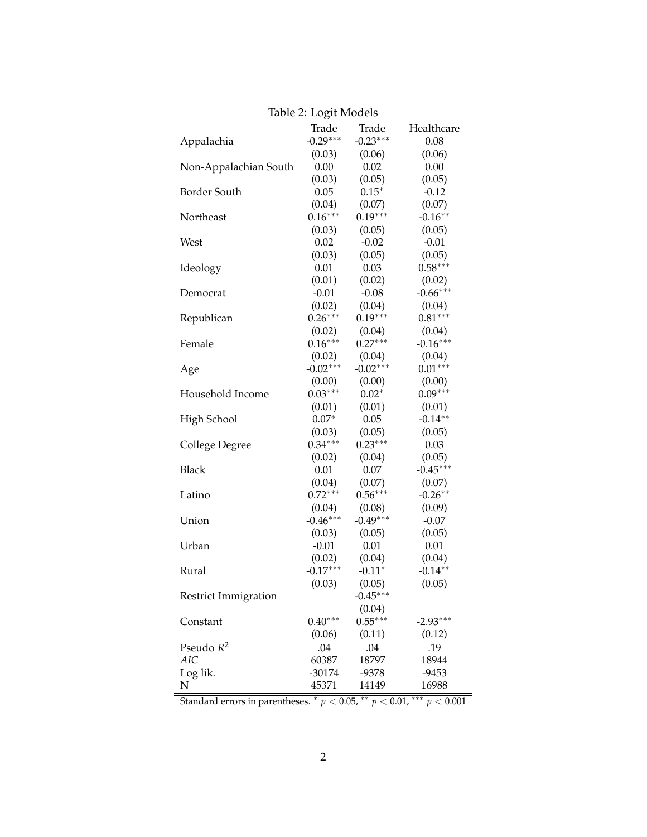| Table 2: Logit Models       |            |              |            |
|-----------------------------|------------|--------------|------------|
|                             | Trade      | <b>Trade</b> | Healthcare |
| Appalachia                  | $-0.29***$ | $-0.23***$   | 0.08       |
|                             | (0.03)     | (0.06)       | (0.06)     |
| Non-Appalachian South       | 0.00       | 0.02         | 0.00       |
|                             | (0.03)     | (0.05)       | (0.05)     |
| Border South                | 0.05       | $0.15*$      | $-0.12$    |
|                             | (0.04)     | (0.07)       | (0.07)     |
| Northeast                   | $0.16***$  | $0.19***$    | $-0.16**$  |
|                             | (0.03)     | (0.05)       | (0.05)     |
| West                        | 0.02       | $-0.02$      | $-0.01$    |
|                             | (0.03)     | (0.05)       | (0.05)     |
| Ideology                    | 0.01       | 0.03         | $0.58***$  |
|                             | (0.01)     | (0.02)       | (0.02)     |
| Democrat                    | $-0.01$    | $-0.08$      | $-0.66***$ |
|                             | (0.02)     | (0.04)       | (0.04)     |
| Republican                  | $0.26***$  | $0.19***$    | $0.81***$  |
|                             | (0.02)     | (0.04)       | (0.04)     |
| Female                      | $0.16***$  | $0.27***$    | $-0.16***$ |
|                             | (0.02)     | (0.04)       | (0.04)     |
| Age                         | $-0.02***$ | $-0.02***$   | $0.01***$  |
|                             | (0.00)     | (0.00)       | (0.00)     |
| Household Income            | $0.03***$  | $0.02*$      | $0.09***$  |
|                             | (0.01)     | (0.01)       | (0.01)     |
| High School                 | $0.07*$    | 0.05         | $-0.14**$  |
|                             | (0.03)     | (0.05)       | (0.05)     |
| College Degree              | $0.34***$  | $0.23***$    | 0.03       |
|                             | (0.02)     | (0.04)       | (0.05)     |
| <b>Black</b>                | 0.01       | 0.07         | $-0.45***$ |
|                             | (0.04)     | (0.07)       | (0.07)     |
| Latino                      | $0.72***$  | $0.56***$    | $-0.26**$  |
|                             | (0.04)     | (0.08)       | (0.09)     |
| Union                       | $-0.46***$ | $-0.49***$   | $-0.07$    |
|                             | (0.03)     | (0.05)       | (0.05)     |
| Urban                       | $-0.01$    | 0.01         | 0.01       |
|                             | (0.02)     | (0.04)       | (0.04)     |
| Rural                       | $-0.17***$ | $-0.11*$     | $-0.14**$  |
|                             | (0.03)     | (0.05)       | (0.05)     |
| <b>Restrict Immigration</b> |            | $-0.45***$   |            |
|                             |            | (0.04)       |            |
| Constant                    | $0.40***$  | $0.55***$    | $-2.93***$ |
|                             | (0.06)     | (0.11)       | (0.12)     |
| Pseudo $R^2$                | .04        | .04          | .19        |
| AIC                         | 60387      | 18797        | 18944      |
| Log lik.                    | $-30174$   | -9378        | $-9453$    |
| ${\bf N}$                   | 45371      | 14149        | 16988      |
|                             |            |              |            |

Table 2: Logit Models

Standard errors in parentheses. ⇤ *p <* 0.05, ⇤⇤ *p <* 0.01, ⇤⇤⇤ *p <* 0.001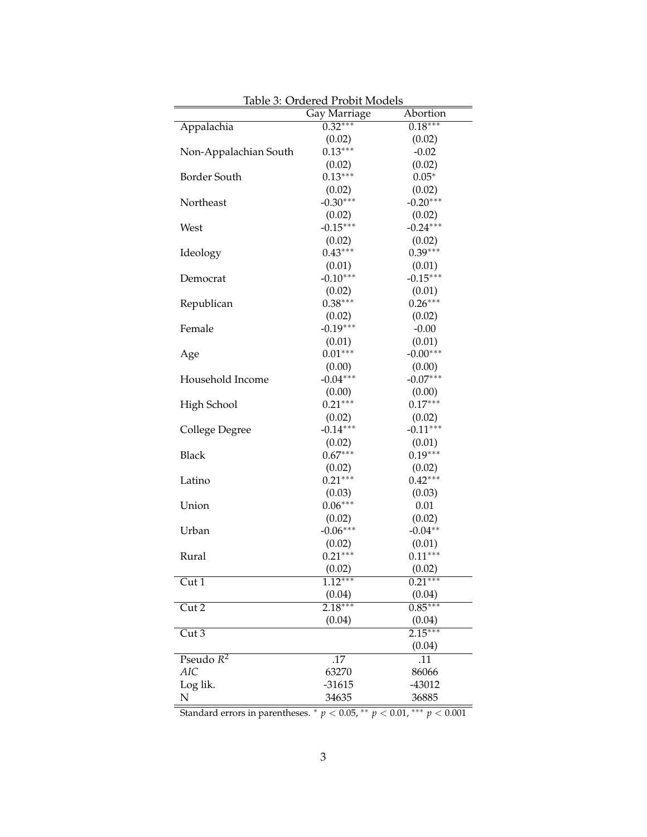| <u> Iable 3: Ordered Probit Models</u> |                      |                      |  |
|----------------------------------------|----------------------|----------------------|--|
|                                        | Gay Marriage         | Abortion             |  |
| Appalachia                             | $0.32***$            | $0.18***$            |  |
|                                        | (0.02)               | (0.02)               |  |
| Non-Appalachian South                  | $0.13***$            | $-0.02$              |  |
|                                        | (0.02)               | (0.02)               |  |
| Border South                           | $0.13***$            | $0.05*$              |  |
|                                        | (0.02)               | (0.02)               |  |
| Northeast                              | $-0.30***$           | $-0.20***$           |  |
|                                        | (0.02)               | (0.02)               |  |
| West                                   | $-0.15***$           | $-0.24***$           |  |
|                                        | (0.02)               | (0.02)               |  |
| Ideology                               | $0.43***$            | $0.39***$            |  |
|                                        | (0.01)               | (0.01)               |  |
| Democrat                               | $-0.10***$           | $-0.15***$           |  |
|                                        | (0.02)               | (0.01)               |  |
| Republican                             | $0.38***$            | $0.26***$            |  |
|                                        | (0.02)               | (0.02)               |  |
| Female                                 | $-0.19***$           | $-0.00$              |  |
|                                        |                      | (0.01)               |  |
|                                        | (0.01)<br>$0.01***$  | $-0.00***$           |  |
| Age                                    |                      |                      |  |
|                                        | (0.00)               | (0.00)<br>$-0.07***$ |  |
| Household Income                       | $-0.04***$           |                      |  |
|                                        | (0.00)               | (0.00)<br>$0.17***$  |  |
| High School                            | $0.21***$            |                      |  |
|                                        | (0.02)               | (0.02)               |  |
| College Degree                         | $-0.14***$           | $-0.11***$           |  |
|                                        | (0.02)               | (0.01)               |  |
| <b>Black</b>                           | $0.67***$            | $0.19***$            |  |
|                                        | (0.02)               | (0.02)               |  |
| Latino                                 | $0.21***$            | $0.42***$            |  |
|                                        | (0.03)               | (0.03)               |  |
| Union                                  | $0.06***$            | 0.01                 |  |
|                                        | (0.02)               | (0.02)               |  |
| Urban                                  | $-0.06***$           | $-0.04**$            |  |
|                                        | (0.02)               | (0.01)               |  |
| Rural                                  | $0.21***$            | $0.11***$            |  |
|                                        | (0.02)               | (0.02)               |  |
| Cut 1                                  | $1.\overline{12***}$ | $0.\overline{21***}$ |  |
|                                        | (0.04)               | (0.04)               |  |
| $\overline{\mathrm{Cut2}}$             | $2.18***$            | $0.85***$            |  |
|                                        | (0.04)               | (0.04)               |  |
| Cut3                                   |                      | $2.15***$            |  |
|                                        |                      | (0.04)               |  |
| Pseudo $\overline{R^2}$                | .17                  | .11                  |  |
| <b>AIC</b>                             | 63270                | 86066                |  |
| Log lik.                               | $-31615$             | -43012               |  |
| N                                      | 34635                | 36885                |  |
|                                        |                      |                      |  |

Table 3: Ordered Probit Models

Standard errors in parentheses.  $p < 0.05$ ,  $* p < 0.01$ ,  $** p < 0.001$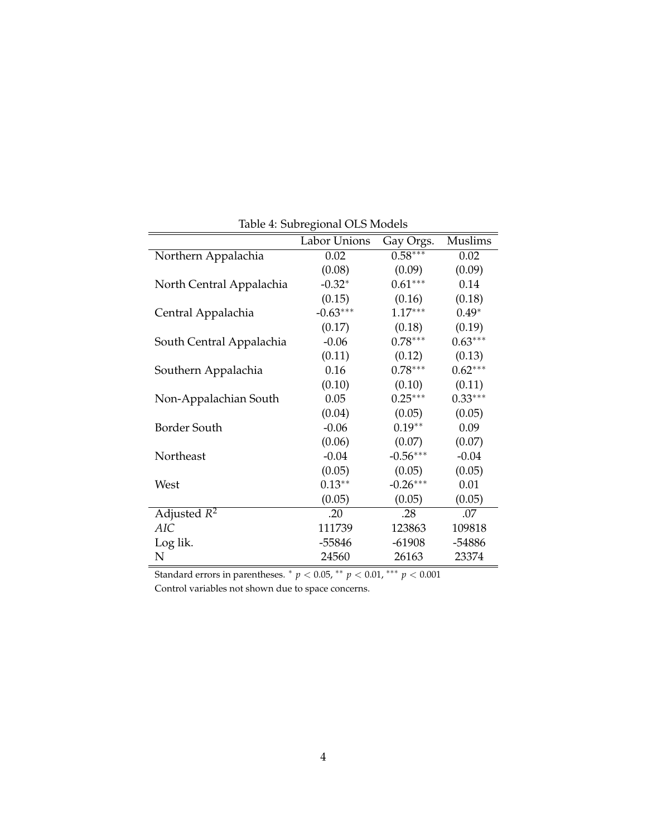|                          | havie il sastegional suo illeacio |            |           |
|--------------------------|-----------------------------------|------------|-----------|
|                          | Labor Unions                      | Gay Orgs.  | Muslims   |
| Northern Appalachia      | 0.02                              | $0.58***$  | 0.02      |
|                          | (0.08)                            | (0.09)     | (0.09)    |
| North Central Appalachia | $-0.32*$                          | $0.61***$  | 0.14      |
|                          | (0.15)                            | (0.16)     | (0.18)    |
| Central Appalachia       | $-0.63***$                        | $1.17***$  | $0.49*$   |
|                          | (0.17)                            | (0.18)     | (0.19)    |
| South Central Appalachia | $-0.06$                           | $0.78***$  | $0.63***$ |
|                          | (0.11)                            | (0.12)     | (0.13)    |
| Southern Appalachia      | 0.16                              | $0.78***$  | $0.62***$ |
|                          | (0.10)                            | (0.10)     | (0.11)    |
| Non-Appalachian South    | 0.05                              | $0.25***$  | $0.33***$ |
|                          | (0.04)                            | (0.05)     | (0.05)    |
| Border South             | $-0.06$                           | $0.19**$   | 0.09      |
|                          | (0.06)                            | (0.07)     | (0.07)    |
| Northeast                | $-0.04$                           | $-0.56***$ | $-0.04$   |
|                          | (0.05)                            | (0.05)     | (0.05)    |
| West                     | $0.13**$                          | $-0.26***$ | 0.01      |
|                          | (0.05)                            | (0.05)     | (0.05)    |
| Adjusted $R^2$           | .20                               | .28        | .07       |
| <b>AIC</b>               | 111739                            | 123863     | 109818    |
| Log lik.                 | $-55846$                          | $-61908$   | -54886    |
| N                        | 24560                             | 26163      | 23374     |

Table 4: Subregional OLS Models

Standard errors in parentheses. ⇤ *p <* 0.05, ⇤⇤ *p <* 0.01, ⇤⇤⇤ *p <* 0.001 Control variables not shown due to space concerns.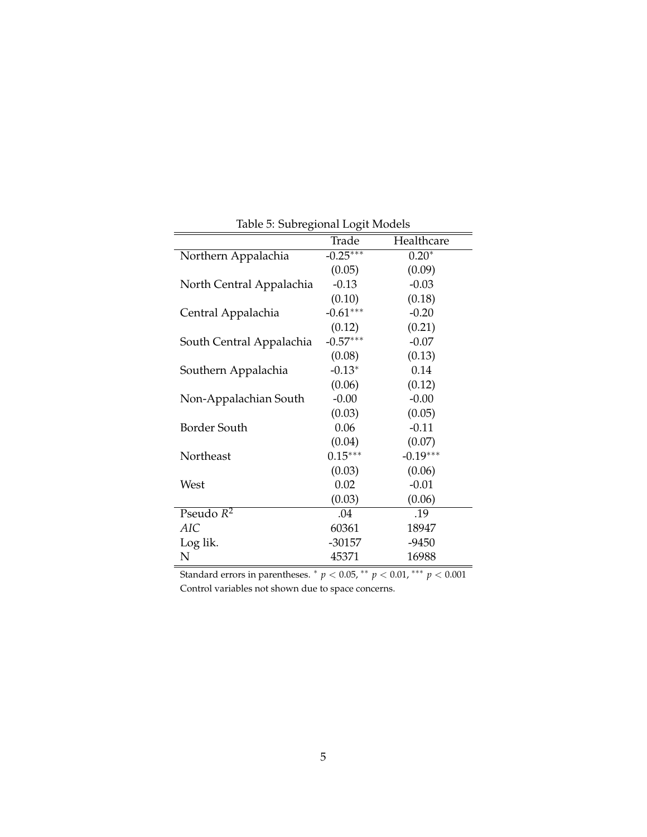| $\circ$                  | $\sigma$<br>Trade | Healthcare |
|--------------------------|-------------------|------------|
| Northern Appalachia      | $-0.25***$        | $0.20*$    |
|                          | (0.05)            | (0.09)     |
| North Central Appalachia | $-0.13$           | $-0.03$    |
|                          | (0.10)            | (0.18)     |
| Central Appalachia       | $-0.61***$        | $-0.20$    |
|                          | (0.12)            | (0.21)     |
| South Central Appalachia | $-0.57***$        | $-0.07$    |
|                          | (0.08)            | (0.13)     |
| Southern Appalachia      | $-0.13*$          | 0.14       |
|                          | (0.06)            | (0.12)     |
| Non-Appalachian South    | $-0.00$           | $-0.00$    |
|                          | (0.03)            | (0.05)     |
| Border South             | 0.06              | $-0.11$    |
|                          | (0.04)            | (0.07)     |
| Northeast                | $0.15***$         | $-0.19***$ |
|                          | (0.03)            | (0.06)     |
| West                     | 0.02              | $-0.01$    |
|                          | (0.03)            | (0.06)     |
| Pseudo $R^2$             | .04               | .19        |
| AIC                      | 60361             | 18947      |
| Log lik.                 | $-30157$          | $-9450$    |
| N                        | 45371             | 16988      |

Table 5: Subregional Logit Models

Standard errors in parentheses. \*  $p < 0.05$ , \*\*  $p < 0.01$ , \*\*\*  $p < 0.001$ Control variables not shown due to space concerns.